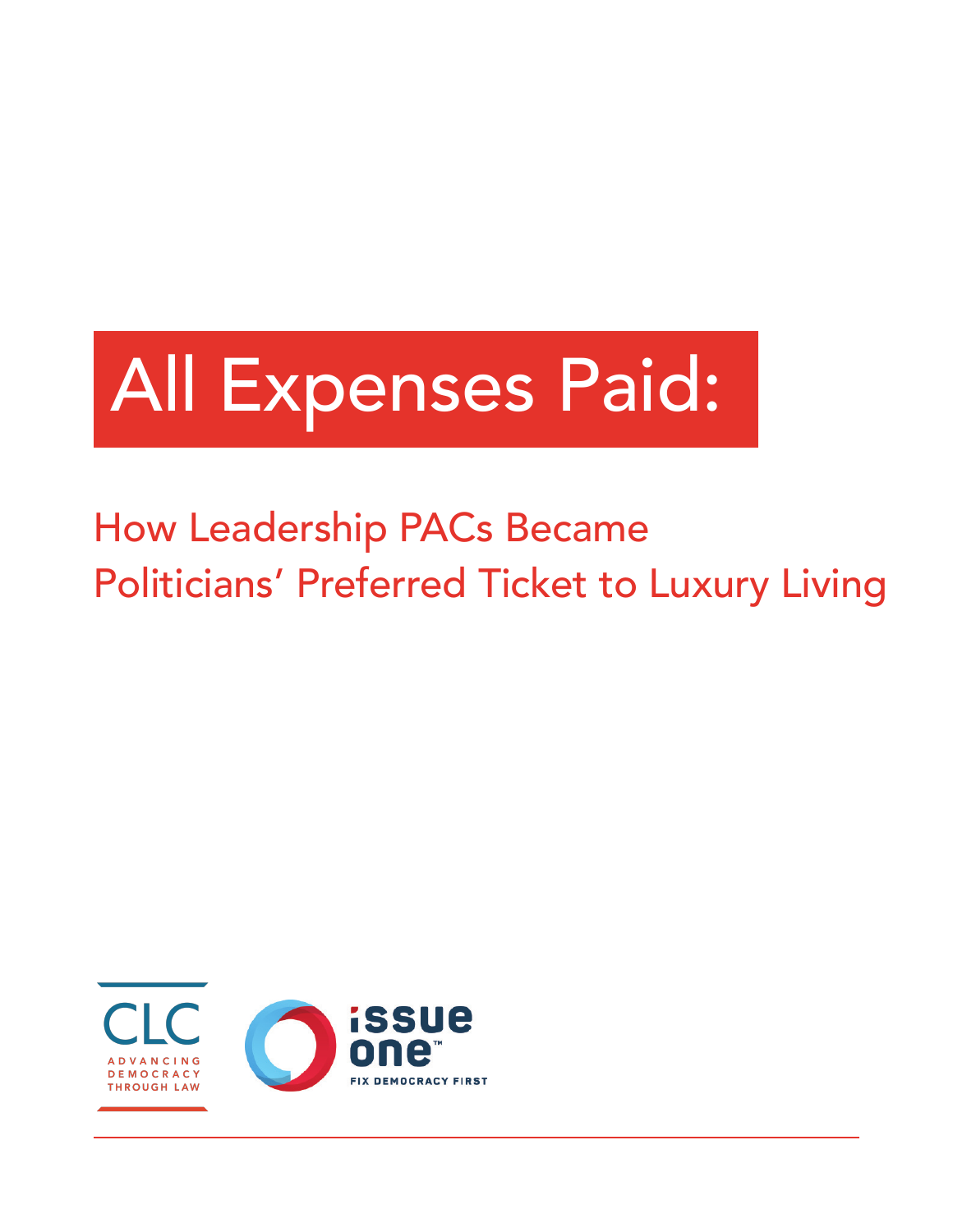# All Expenses Paid:

## How Leadership PACs Became Politicians' Preferred Ticket to Luxury Living

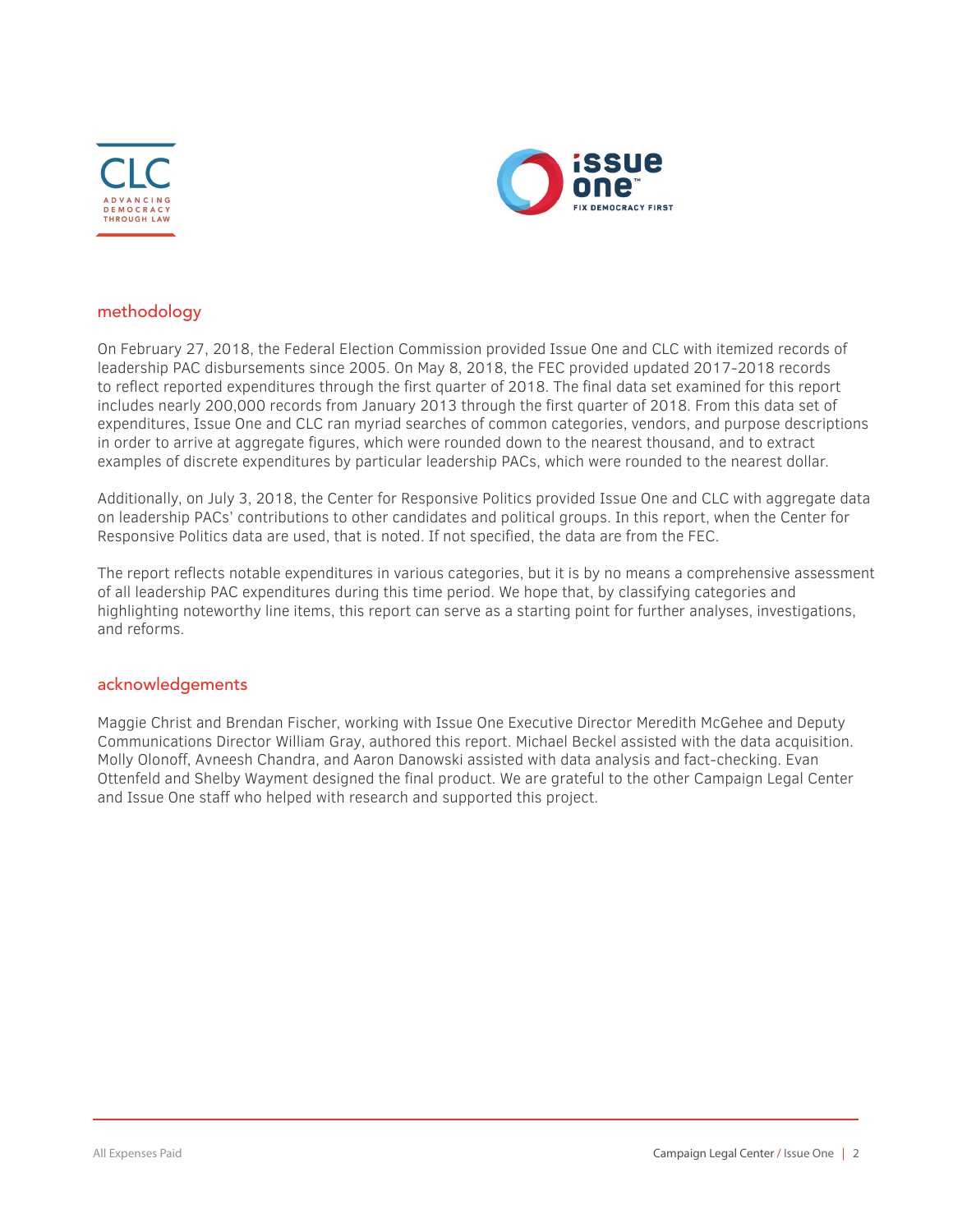



#### methodology

On February 27, 2018, the Federal Election Commission provided Issue One and CLC with itemized records of leadership PAC disbursements since 2005. On May 8, 2018, the FEC provided updated 2017-2018 records to reflect reported expenditures through the first quarter of 2018. The final data set examined for this report includes nearly 200,000 records from January 2013 through the first quarter of 2018. From this data set of expenditures, Issue One and CLC ran myriad searches of common categories, vendors, and purpose descriptions in order to arrive at aggregate figures, which were rounded down to the nearest thousand, and to extract examples of discrete expenditures by particular leadership PACs, which were rounded to the nearest dollar.

Additionally, on July 3, 2018, the Center for Responsive Politics provided Issue One and CLC with aggregate data on leadership PACs' contributions to other candidates and political groups. In this report, when the Center for Responsive Politics data are used, that is noted. If not specified, the data are from the FEC.

The report reflects notable expenditures in various categories, but it is by no means a comprehensive assessment of all leadership PAC expenditures during this time period. We hope that, by classifying categories and highlighting noteworthy line items, this report can serve as a starting point for further analyses, investigations, and reforms.

#### acknowledgements

Maggie Christ and Brendan Fischer, working with Issue One Executive Director Meredith McGehee and Deputy Communications Director William Gray, authored this report. Michael Beckel assisted with the data acquisition. Molly Olonoff, Avneesh Chandra, and Aaron Danowski assisted with data analysis and fact-checking. Evan Ottenfeld and Shelby Wayment designed the final product. We are grateful to the other Campaign Legal Center and Issue One staff who helped with research and supported this project.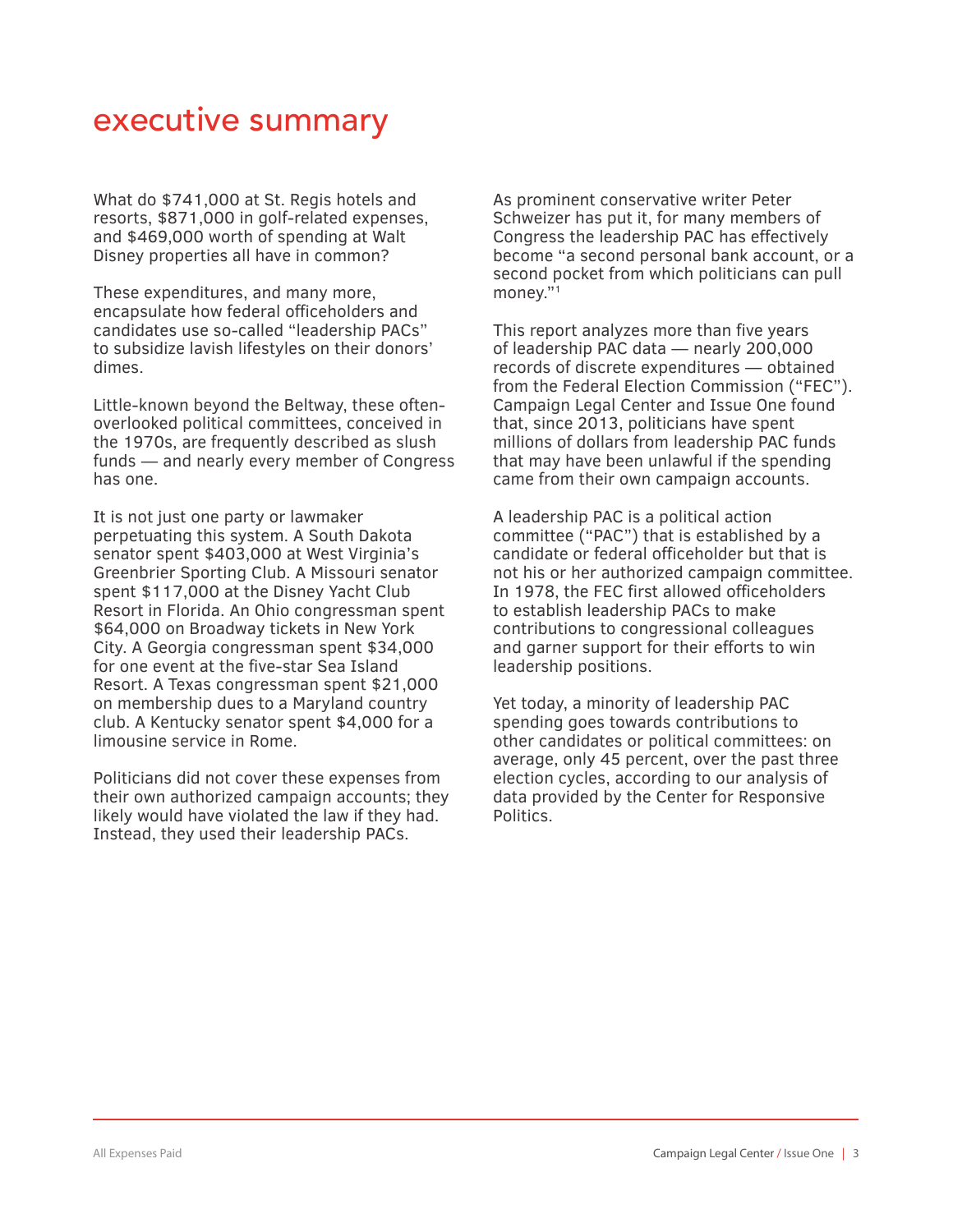### executive summary *\$*

What do \$741,000 at St. Regis hotels and resorts, \$871,000 in golf-related expenses, and \$469,000 worth of spending at Walt Disney properties all have in common?

These expenditures, and many more, encapsulate how federal officeholders and candidates use so-called "leadership PACs" to subsidize lavish lifestyles on their donors' dimes.

Little-known beyond the Beltway, these oftenoverlooked political committees, conceived in the 1970s, are frequently described as slush funds — and nearly every member of Congress has one.

It is not just one party or lawmaker perpetuating this system. A South Dakota senator spent \$403,000 at West Virginia's Greenbrier Sporting Club. A Missouri senator spent \$117,000 at the Disney Yacht Club Resort in Florida. An Ohio congressman spent \$64,000 on Broadway tickets in New York City. A Georgia congressman spent \$34,000 for one event at the five-star Sea Island Resort. A Texas congressman spent \$21,000 on membership dues to a Maryland country club. A Kentucky senator spent \$4,000 for a limousine service in Rome.

Politicians did not cover these expenses from their own authorized campaign accounts; they likely would have violated the law if they had. Instead, they used their leadership PACs.

As prominent conservative writer Peter Schweizer has put it, for many members of Congress the leadership PAC has effectively become "a second personal bank account, or a second pocket from which politicians can pull money."1

This report analyzes more than five years of leadership PAC data — nearly 200,000 records of discrete expenditures — obtained from the Federal Election Commission ("FEC"). Campaign Legal Center and Issue One found that, since 2013, politicians have spent millions of dollars from leadership PAC funds that may have been unlawful if the spending came from their own campaign accounts.

A leadership PAC is a political action committee ("PAC") that is established by a candidate or federal officeholder but that is not his or her authorized campaign committee. In 1978, the FEC first allowed officeholders to establish leadership PACs to make contributions to congressional colleagues and garner support for their efforts to win leadership positions.

Yet today, a minority of leadership PAC spending goes towards contributions to other candidates or political committees: on average, only 45 percent, over the past three election cycles, according to our analysis of data provided by the Center for Responsive Politics.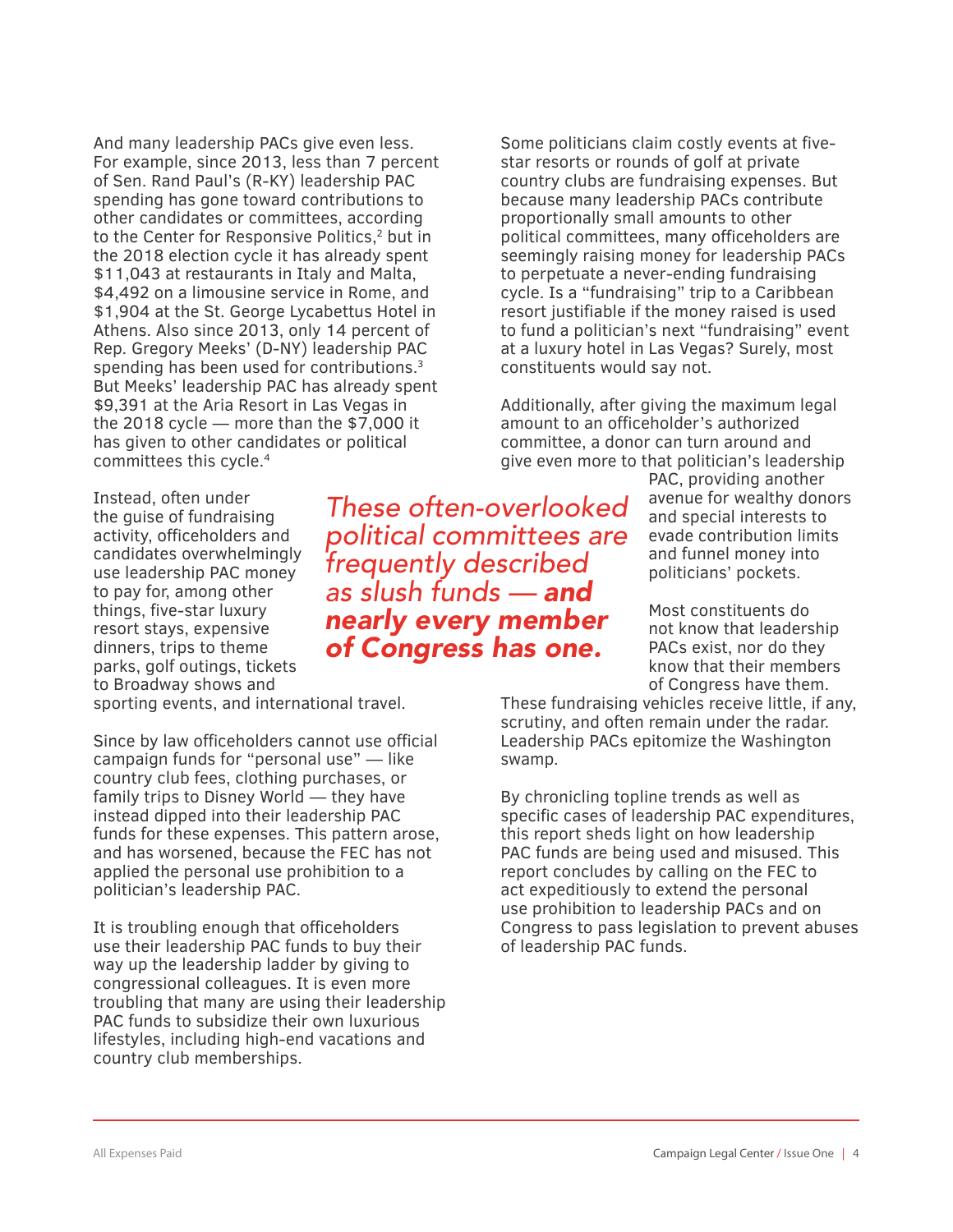And many leadership PACs give even less. For example, since 2013, less than 7 percent of Sen. Rand Paul's (R-KY) leadership PAC spending has gone toward contributions to other candidates or committees, according to the Center for Responsive Politics,<sup>2</sup> but in the 2018 election cycle it has already spent \$11,043 at restaurants in Italy and Malta, \$4,492 on a limousine service in Rome, and \$1,904 at the St. George Lycabettus Hotel in Athens. Also since 2013, only 14 percent of Rep. Gregory Meeks' (D-NY) leadership PAC spending has been used for contributions.<sup>3</sup> But Meeks' leadership PAC has already spent \$9,391 at the Aria Resort in Las Vegas in the 2018 cycle — more than the \$7,000 it has given to other candidates or political committees this cycle.4

Instead, often under the guise of fundraising activity, officeholders and candidates overwhelmingly use leadership PAC money to pay for, among other things, five-star luxury resort stays, expensive dinners, trips to theme parks, golf outings, tickets to Broadway shows and sporting events, and international travel.

Since by law officeholders cannot use official campaign funds for "personal use" — like country club fees, clothing purchases, or family trips to Disney World — they have instead dipped into their leadership PAC funds for these expenses. This pattern arose, and has worsened, because the FEC has not applied the personal use prohibition to a politician's leadership PAC.

It is troubling enough that officeholders use their leadership PAC funds to buy their way up the leadership ladder by giving to congressional colleagues. It is even more troubling that many are using their leadership PAC funds to subsidize their own luxurious lifestyles, including high-end vacations and country club memberships.

*These often-overlooked political committees are frequently described as slush funds — and nearly every member of Congress has one.*

Some politicians claim costly events at fivestar resorts or rounds of golf at private country clubs are fundraising expenses. But because many leadership PACs contribute proportionally small amounts to other political committees, many officeholders are seemingly raising money for leadership PACs to perpetuate a never-ending fundraising cycle. Is a "fundraising" trip to a Caribbean resort justifiable if the money raised is used to fund a politician's next "fundraising" event at a luxury hotel in Las Vegas? Surely, most constituents would say not.

Additionally, after giving the maximum legal amount to an officeholder's authorized committee, a donor can turn around and give even more to that politician's leadership

> PAC, providing another avenue for wealthy donors and special interests to evade contribution limits and funnel money into politicians' pockets.

Most constituents do not know that leadership PACs exist, nor do they know that their members of Congress have them.

These fundraising vehicles receive little, if any, scrutiny, and often remain under the radar. Leadership PACs epitomize the Washington swamp.

By chronicling topline trends as well as specific cases of leadership PAC expenditures, this report sheds light on how leadership PAC funds are being used and misused. This report concludes by calling on the FEC to act expeditiously to extend the personal use prohibition to leadership PACs and on Congress to pass legislation to prevent abuses of leadership PAC funds.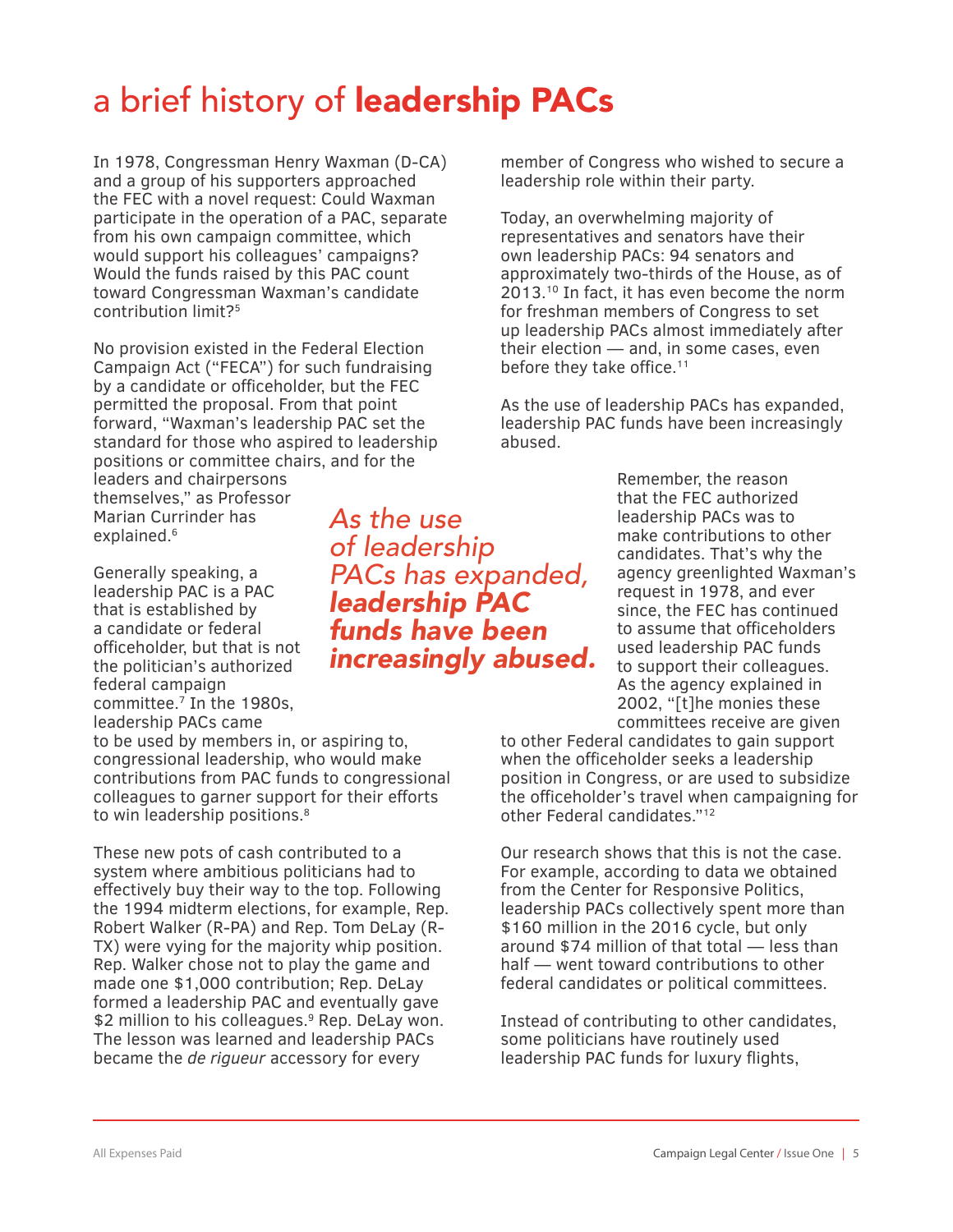### a brief history of leadership PACs

In 1978, Congressman Henry Waxman (D-CA) and a group of his supporters approached the FEC with a novel request: Could Waxman participate in the operation of a PAC, separate from his own campaign committee, which would support his colleagues' campaigns? Would the funds raised by this PAC count toward Congressman Waxman's candidate contribution limit?5

No provision existed in the Federal Election Campaign Act ("FECA") for such fundraising by a candidate or officeholder, but the FEC permitted the proposal. From that point forward, "Waxman's leadership PAC set the standard for those who aspired to leadership positions or committee chairs, and for the

leaders and chairpersons themselves," as Professor Marian Currinder has explained.<sup>6</sup>

Generally speaking, a leadership PAC is a PAC that is established by a candidate or federal officeholder, but that is not the politician's authorized federal campaign committee.<sup>7</sup> In the 1980s, leadership PACs came

to be used by members in, or aspiring to, congressional leadership, who would make contributions from PAC funds to congressional colleagues to garner support for their efforts to win leadership positions.<sup>8</sup>

These new pots of cash contributed to a system where ambitious politicians had to effectively buy their way to the top. Following the 1994 midterm elections, for example, Rep. Robert Walker (R-PA) and Rep. Tom DeLay (R-TX) were vying for the majority whip position. Rep. Walker chose not to play the game and made one \$1,000 contribution; Rep. DeLay formed a leadership PAC and eventually gave \$2 million to his colleagues.<sup>9</sup> Rep. DeLay won. The lesson was learned and leadership PACs became the *de rigueur* accessory for every

*As the use of leadership PACs has expanded, leadership PAC funds have been increasingly abused.* 

member of Congress who wished to secure a leadership role within their party.

Today, an overwhelming majority of representatives and senators have their own leadership PACs: 94 senators and approximately two-thirds of the House, as of 2013.10 In fact, it has even become the norm for freshman members of Congress to set up leadership PACs almost immediately after their election — and, in some cases, even before they take office.<sup>11</sup>

As the use of leadership PACs has expanded, leadership PAC funds have been increasingly abused.

> Remember, the reason that the FEC authorized leadership PACs was to make contributions to other candidates. That's why the agency greenlighted Waxman's request in 1978, and ever since, the FEC has continued to assume that officeholders used leadership PAC funds to support their colleagues. As the agency explained in 2002, "[t]he monies these committees receive are given

to other Federal candidates to gain support when the officeholder seeks a leadership position in Congress, or are used to subsidize the officeholder's travel when campaigning for other Federal candidates."12

Our research shows that this is not the case. For example, according to data we obtained from the Center for Responsive Politics, leadership PACs collectively spent more than \$160 million in the 2016 cycle, but only around \$74 million of that total — less than half — went toward contributions to other federal candidates or political committees.

Instead of contributing to other candidates, some politicians have routinely used leadership PAC funds for luxury flights,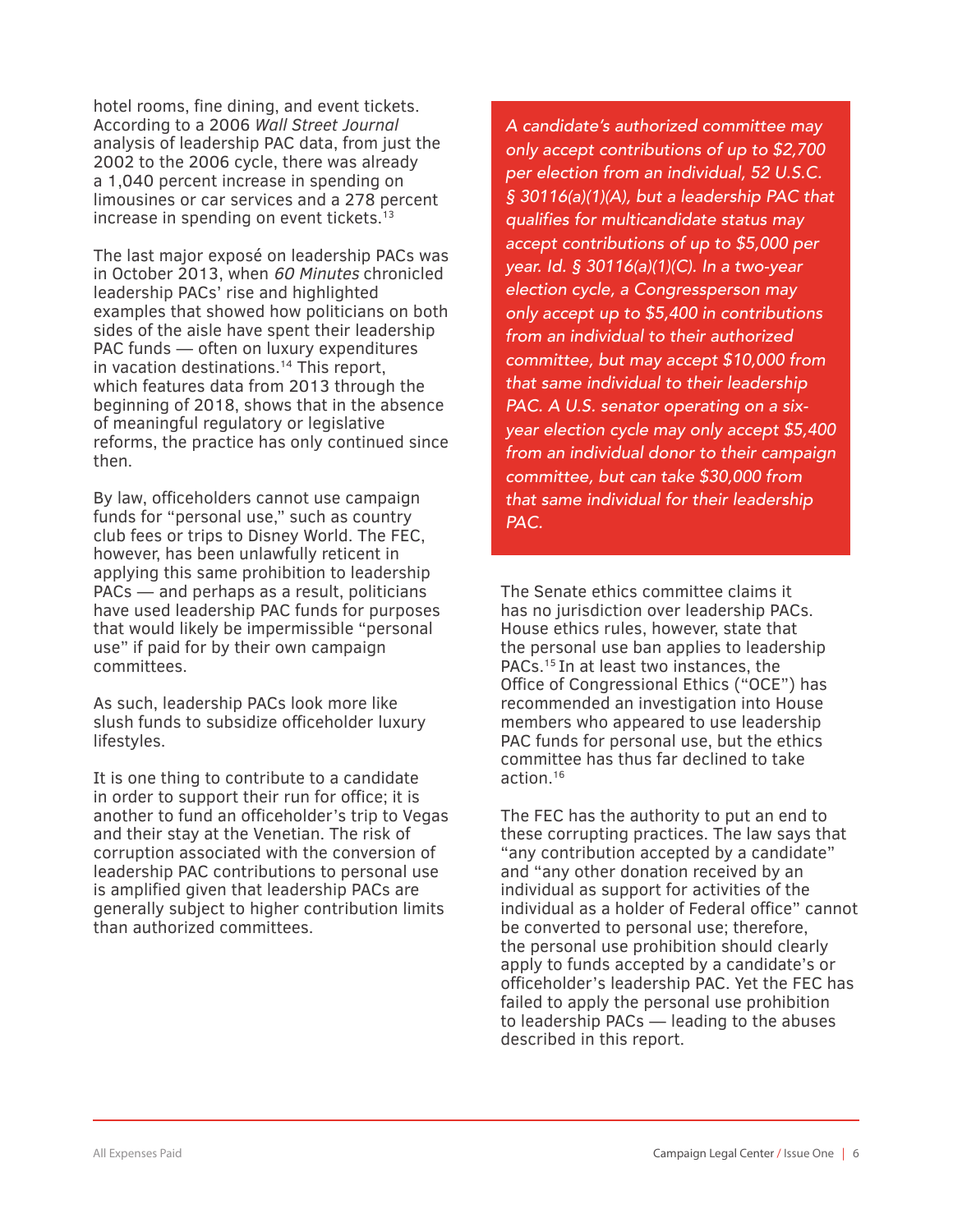hotel rooms, fine dining, and event tickets. According to a 2006 *Wall Street Journal*  analysis of leadership PAC data, from just the 2002 to the 2006 cycle, there was already a 1,040 percent increase in spending on limousines or car services and a 278 percent increase in spending on event tickets.<sup>13</sup>

The last major exposé on leadership PACs was in October 2013, when 60 Minutes chronicled leadership PACs' rise and highlighted examples that showed how politicians on both sides of the aisle have spent their leadership PAC funds — often on luxury expenditures in vacation destinations.<sup>14</sup> This report, which features data from 2013 through the beginning of 2018, shows that in the absence of meaningful regulatory or legislative reforms, the practice has only continued since then.

By law, officeholders cannot use campaign funds for "personal use," such as country club fees or trips to Disney World. The FEC, however, has been unlawfully reticent in applying this same prohibition to leadership PACs — and perhaps as a result, politicians have used leadership PAC funds for purposes that would likely be impermissible "personal use" if paid for by their own campaign committees.

As such, leadership PACs look more like slush funds to subsidize officeholder luxury lifestyles.

It is one thing to contribute to a candidate in order to support their run for office; it is another to fund an officeholder's trip to Vegas and their stay at the Venetian. The risk of corruption associated with the conversion of leadership PAC contributions to personal use is amplified given that leadership PACs are generally subject to higher contribution limits than authorized committees.

*A candidate's authorized committee may only accept contributions of up to \$2,700 per election from an individual, 52 U.S.C. § 30116(a)(1)(A), but a leadership PAC that qualifies for multicandidate status may accept contributions of up to \$5,000 per year. Id. § 30116(a)(1)(C). In a two-year election cycle, a Congressperson may only accept up to \$5,400 in contributions from an individual to their authorized committee, but may accept \$10,000 from that same individual to their leadership PAC. A U.S. senator operating on a sixyear election cycle may only accept \$5,400 from an individual donor to their campaign committee, but can take \$30,000 from that same individual for their leadership PAC.* 

The Senate ethics committee claims it has no jurisdiction over leadership PACs. House ethics rules, however, state that the personal use ban applies to leadership PACs.<sup>15</sup> In at least two instances, the Office of Congressional Ethics ("OCE") has recommended an investigation into House members who appeared to use leadership PAC funds for personal use, but the ethics committee has thus far declined to take action.16

The FEC has the authority to put an end to these corrupting practices. The law says that "any contribution accepted by a candidate" and "any other donation received by an individual as support for activities of the individual as a holder of Federal office" cannot be converted to personal use; therefore, the personal use prohibition should clearly apply to funds accepted by a candidate's or officeholder's leadership PAC. Yet the FEC has failed to apply the personal use prohibition to leadership PACs — leading to the abuses described in this report.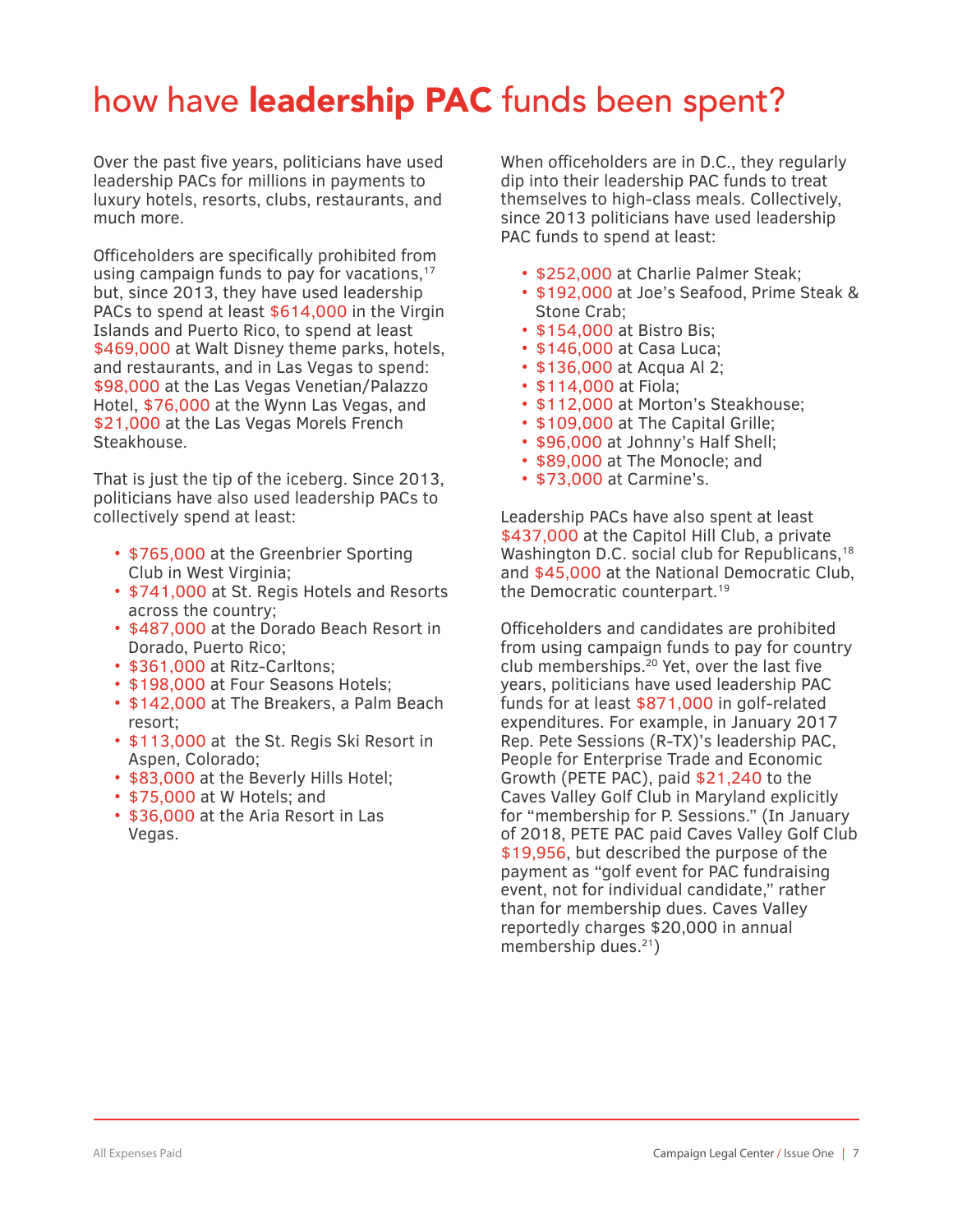### how have leadership PAC funds been spent?

Over the past five years, politicians have used leadership PACs for millions in payments to luxury hotels, resorts, clubs, restaurants, and much more.

Officeholders are specifically prohibited from using campaign funds to pay for vacations,<sup>17</sup> but, since 2013, they have used leadership PACs to spend at least \$614,000 in the Virgin Islands and Puerto Rico, to spend at least \$469,000 at Walt Disney theme parks, hotels, and restaurants, and in Las Vegas to spend: \$98,000 at the Las Vegas Venetian/Palazzo Hotel, \$76,000 at the Wynn Las Vegas, and \$21,000 at the Las Vegas Morels French Steakhouse.

That is just the tip of the iceberg. Since 2013, politicians have also used leadership PACs to collectively spend at least:

- \$765,000 at the Greenbrier Sporting Club in West Virginia;
- \$741,000 at St. Regis Hotels and Resorts across the country;
- \$487,000 at the Dorado Beach Resort in Dorado, Puerto Rico;
- \$361,000 at Ritz-Carltons;
- \$198,000 at Four Seasons Hotels;
- \$142,000 at The Breakers, a Palm Beach resort;
- \$113,000 at the St. Regis Ski Resort in Aspen, Colorado;
- \$83,000 at the Beverly Hills Hotel;
- \$75,000 at W Hotels; and
- \$36,000 at the Aria Resort in Las Vegas.

When officeholders are in D.C., they regularly dip into their leadership PAC funds to treat themselves to high-class meals. Collectively, since 2013 politicians have used leadership PAC funds to spend at least:

- \$252,000 at Charlie Palmer Steak;
- \$192,000 at Joe's Seafood, Prime Steak & Stone Crab;
- \$154,000 at Bistro Bis;
- \$146,000 at Casa Luca;
- \$136,000 at Acqua Al 2;
- \$114,000 at Fiola;
- \$112,000 at Morton's Steakhouse;
- \$109,000 at The Capital Grille;
- \$96,000 at Johnny's Half Shell;
- \$89,000 at The Monocle; and
- \$73,000 at Carmine's.

Leadership PACs have also spent at least \$437,000 at the Capitol Hill Club, a private Washington D.C. social club for Republicans.<sup>18</sup> and \$45,000 at the National Democratic Club, the Democratic counterpart.<sup>19</sup>

Officeholders and candidates are prohibited from using campaign funds to pay for country club memberships.20 Yet, over the last five years, politicians have used leadership PAC funds for at least \$871,000 in golf-related expenditures. For example, in January 2017 Rep. Pete Sessions (R-TX)'s leadership PAC, People for Enterprise Trade and Economic Growth (PETE PAC), paid \$21,240 to the Caves Valley Golf Club in Maryland explicitly for "membership for P. Sessions." (In January of 2018, PETE PAC paid Caves Valley Golf Club \$19,956, but described the purpose of the payment as "golf event for PAC fundraising event, not for individual candidate," rather than for membership dues. Caves Valley reportedly charges \$20,000 in annual membership dues.<sup>21</sup>)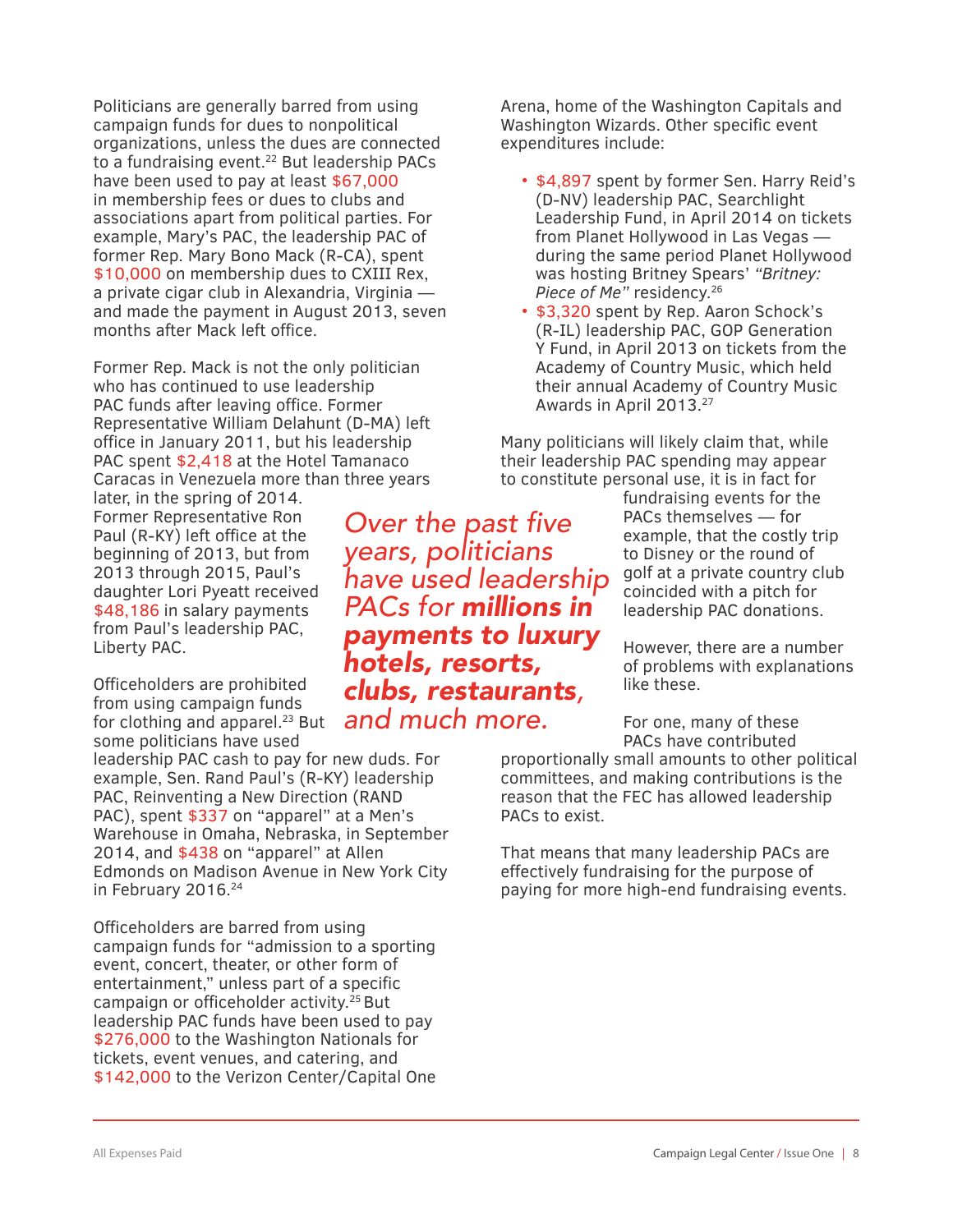Politicians are generally barred from using campaign funds for dues to nonpolitical organizations, unless the dues are connected to a fundraising event.<sup>22</sup> But leadership PACs have been used to pay at least \$67,000 in membership fees or dues to clubs and associations apart from political parties. For example, Mary's PAC, the leadership PAC of former Rep. Mary Bono Mack (R-CA), spent \$10,000 on membership dues to CXIII Rex, a private cigar club in Alexandria, Virginia and made the payment in August 2013, seven months after Mack left office.

Former Rep. Mack is not the only politician who has continued to use leadership PAC funds after leaving office. Former Representative William Delahunt (D-MA) left office in January 2011, but his leadership PAC spent \$2,418 at the Hotel Tamanaco Caracas in Venezuela more than three years

later, in the spring of 2014. Former Representative Ron Paul (R-KY) left office at the beginning of 2013, but from 2013 through 2015, Paul's daughter Lori Pyeatt received \$48,186 in salary payments from Paul's leadership PAC, Liberty PAC.

Officeholders are prohibited from using campaign funds for clothing and apparel. $23$  But some politicians have used

leadership PAC cash to pay for new duds. For example, Sen. Rand Paul's (R-KY) leadership PAC, Reinventing a New Direction (RAND PAC), spent \$337 on "apparel" at a Men's Warehouse in Omaha, Nebraska, in September 2014, and \$438 on "apparel" at Allen Edmonds on Madison Avenue in New York City in February 2016.<sup>24</sup>

Officeholders are barred from using campaign funds for "admission to a sporting event, concert, theater, or other form of entertainment," unless part of a specific campaign or officeholder activity.<sup>25</sup> But leadership PAC funds have been used to pay \$276,000 to the Washington Nationals for tickets, event venues, and catering, and \$142,000 to the Verizon Center/Capital One

*Over the past five years, politicians have used leadership PACs for millions in payments to luxury hotels, resorts, clubs, restaurants, and much more.*

Arena, home of the Washington Capitals and Washington Wizards. Other specific event expenditures include:

- \$4,897 spent by former Sen. Harry Reid's (D-NV) leadership PAC, Searchlight Leadership Fund, in April 2014 on tickets from Planet Hollywood in Las Vegas during the same period Planet Hollywood was hosting Britney Spears' *"Britney:*  Piece of Me" residency.<sup>26</sup>
- \$3,320 spent by Rep. Aaron Schock's (R-IL) leadership PAC, GOP Generation Y Fund, in April 2013 on tickets from the Academy of Country Music, which held their annual Academy of Country Music Awards in April 2013.27

Many politicians will likely claim that, while their leadership PAC spending may appear to constitute personal use, it is in fact for

fundraising events for the PACs themselves — for example, that the costly trip to Disney or the round of golf at a private country club coincided with a pitch for leadership PAC donations.

However, there are a number of problems with explanations like these.

For one, many of these PACs have contributed

proportionally small amounts to other political committees, and making contributions is the reason that the FEC has allowed leadership PACs to exist.

That means that many leadership PACs are effectively fundraising for the purpose of paying for more high-end fundraising events.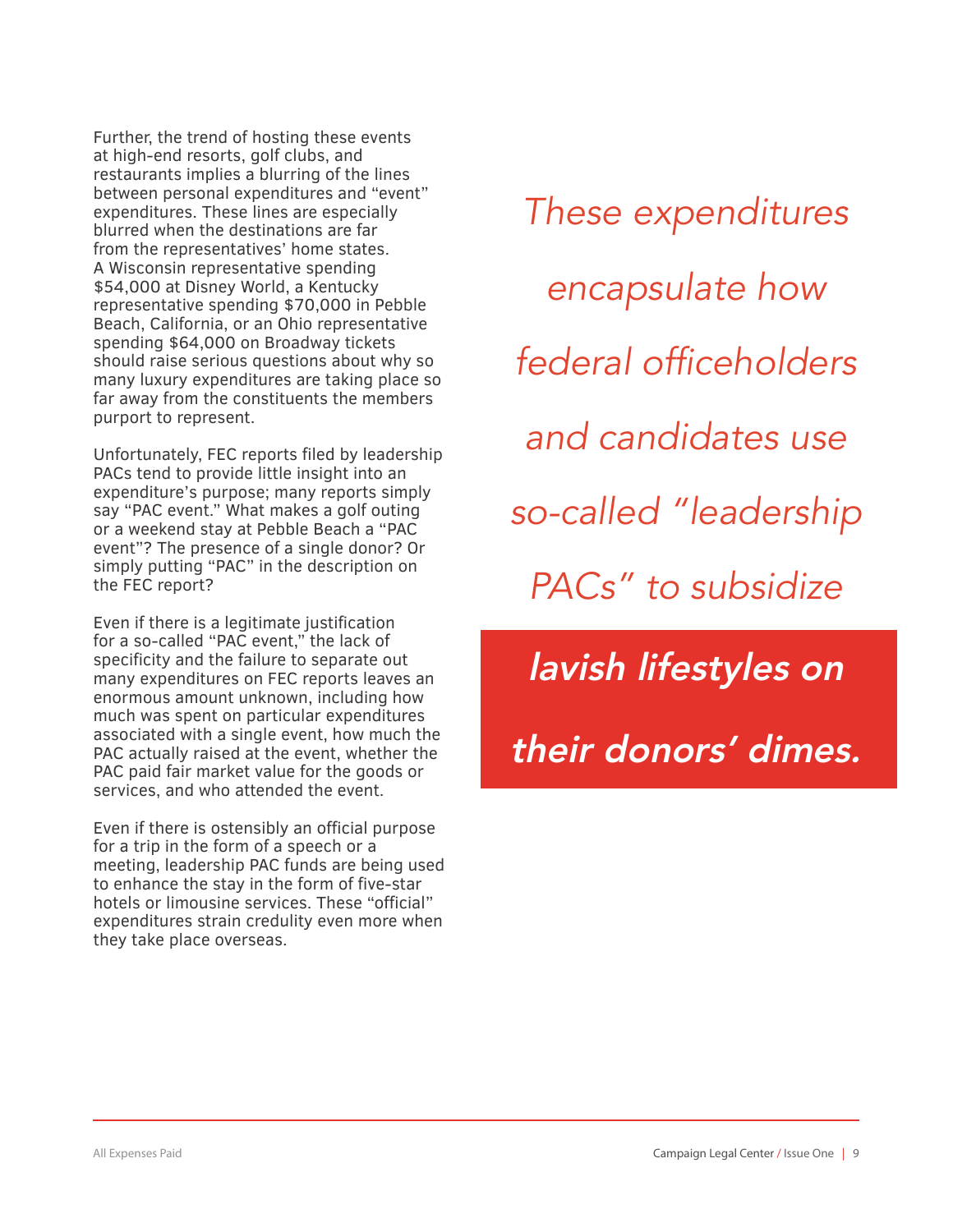Further, the trend of hosting these events at high-end resorts, golf clubs, and restaurants implies a blurring of the lines between personal expenditures and "event" expenditures. These lines are especially blurred when the destinations are far from the representatives' home states. A Wisconsin representative spending \$54,000 at Disney World, a Kentucky representative spending \$70,000 in Pebble Beach, California, or an Ohio representative spending \$64,000 on Broadway tickets should raise serious questions about why so many luxury expenditures are taking place so far away from the constituents the members purport to represent.

Unfortunately, FEC reports filed by leadership PACs tend to provide little insight into an expenditure's purpose; many reports simply say "PAC event." What makes a golf outing or a weekend stay at Pebble Beach a "PAC event"? The presence of a single donor? Or simply putting "PAC" in the description on the FEC report?

Even if there is a legitimate justification for a so-called "PAC event," the lack of specificity and the failure to separate out many expenditures on FEC reports leaves an enormous amount unknown, including how much was spent on particular expenditures associated with a single event, how much the PAC actually raised at the event, whether the PAC paid fair market value for the goods or services, and who attended the event.

Even if there is ostensibly an official purpose for a trip in the form of a speech or a meeting, leadership PAC funds are being used to enhance the stay in the form of five-star hotels or limousine services. These "official" expenditures strain credulity even more when they take place overseas.

*These expenditures encapsulate how federal officeholders and candidates use so-called "leadership PACs" to subsidize* 

lavish lifestyles on

their donors' dimes.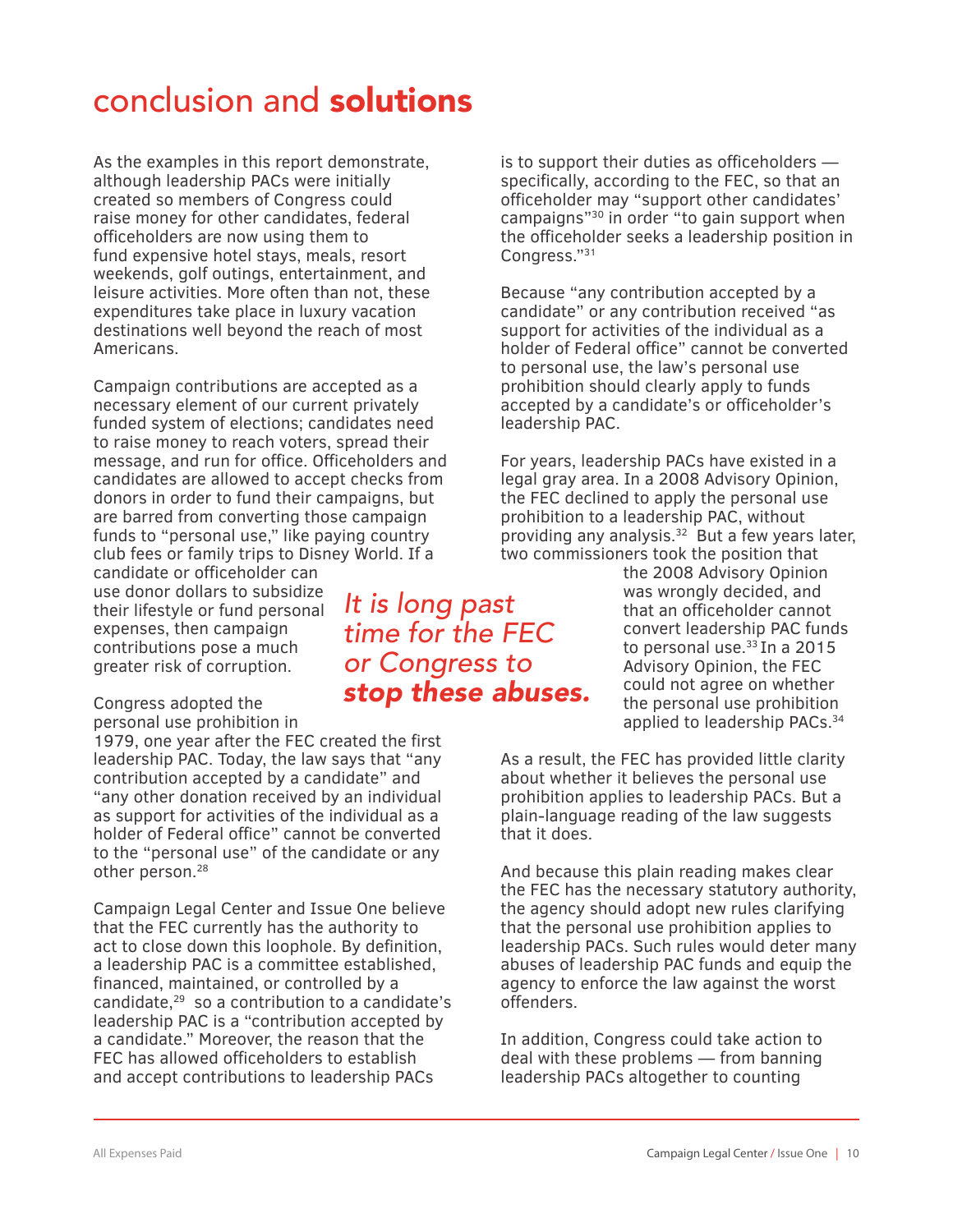### conclusion and solutions

As the examples in this report demonstrate, although leadership PACs were initially created so members of Congress could raise money for other candidates, federal officeholders are now using them to fund expensive hotel stays, meals, resort weekends, golf outings, entertainment, and leisure activities. More often than not, these expenditures take place in luxury vacation destinations well beyond the reach of most Americans.

Campaign contributions are accepted as a necessary element of our current privately funded system of elections; candidates need to raise money to reach voters, spread their message, and run for office. Officeholders and candidates are allowed to accept checks from donors in order to fund their campaigns, but are barred from converting those campaign funds to "personal use," like paying country club fees or family trips to Disney World. If a

candidate or officeholder can use donor dollars to subsidize their lifestyle or fund personal expenses, then campaign contributions pose a much greater risk of corruption.

Congress adopted the personal use prohibition in

1979, one year after the FEC created the first leadership PAC. Today, the law says that "any contribution accepted by a candidate" and "any other donation received by an individual as support for activities of the individual as a holder of Federal office" cannot be converted to the "personal use" of the candidate or any other person.<sup>28</sup>

Campaign Legal Center and Issue One believe that the FEC currently has the authority to act to close down this loophole. By definition, a leadership PAC is a committee established, financed, maintained, or controlled by a candidate,29 so a contribution to a candidate's leadership PAC is a "contribution accepted by a candidate." Moreover, the reason that the FEC has allowed officeholders to establish and accept contributions to leadership PACs

*It is long past time for the FEC or Congress to stop these abuses.* 

is to support their duties as officeholders specifically, according to the FEC, so that an officeholder may "support other candidates' campaigns"30 in order "to gain support when the officeholder seeks a leadership position in Congress."31

Because "any contribution accepted by a candidate" or any contribution received "as support for activities of the individual as a holder of Federal office" cannot be converted to personal use, the law's personal use prohibition should clearly apply to funds accepted by a candidate's or officeholder's leadership PAC.

For years, leadership PACs have existed in a legal gray area. In a 2008 Advisory Opinion, the FEC declined to apply the personal use prohibition to a leadership PAC, without providing any analysis. $32$  But a few years later, two commissioners took the position that

the 2008 Advisory Opinion was wrongly decided, and that an officeholder cannot convert leadership PAC funds to personal use.<sup>33</sup> In a 2015 Advisory Opinion, the FEC could not agree on whether the personal use prohibition applied to leadership PACs.<sup>34</sup>

As a result, the FEC has provided little clarity about whether it believes the personal use prohibition applies to leadership PACs. But a plain-language reading of the law suggests that it does.

And because this plain reading makes clear the FEC has the necessary statutory authority, the agency should adopt new rules clarifying that the personal use prohibition applies to leadership PACs. Such rules would deter many abuses of leadership PAC funds and equip the agency to enforce the law against the worst offenders.

In addition, Congress could take action to deal with these problems — from banning leadership PACs altogether to counting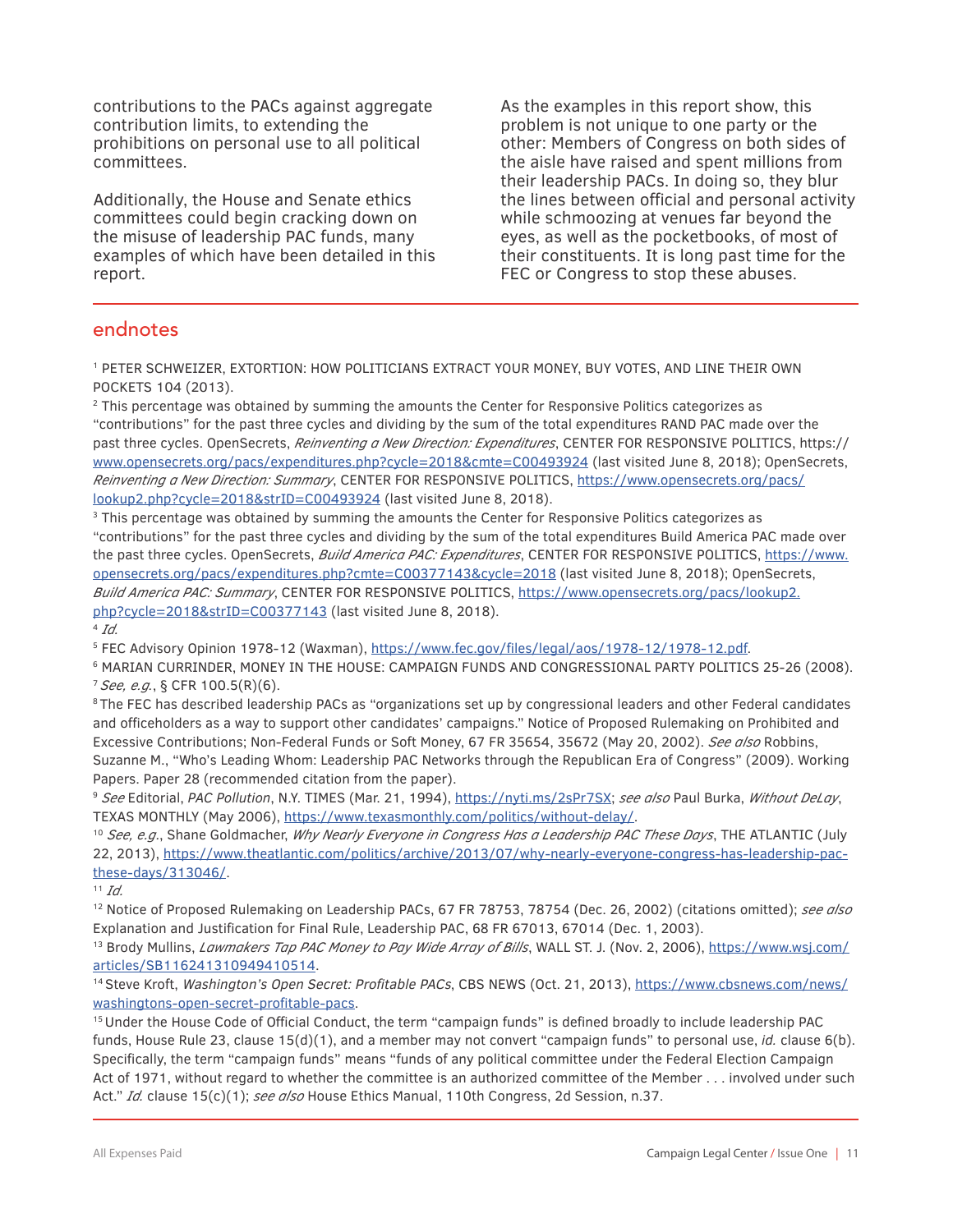contributions to the PACs against aggregate contribution limits, to extending the prohibitions on personal use to all political committees.

Additionally, the House and Senate ethics committees could begin cracking down on the misuse of leadership PAC funds, many examples of which have been detailed in this report.

As the examples in this report show, this problem is not unique to one party or the other: Members of Congress on both sides of the aisle have raised and spent millions from their leadership PACs. In doing so, they blur the lines between official and personal activity while schmoozing at venues far beyond the eyes, as well as the pocketbooks, of most of their constituents. It is long past time for the FEC or Congress to stop these abuses.

### endnotes

1 PETER SCHWEIZER, EXTORTION: HOW POLITICIANS EXTRACT YOUR MONEY, BUY VOTES, AND LINE THEIR OWN POCKETS 104 (2013).

<sup>2</sup> This percentage was obtained by summing the amounts the Center for Responsive Politics categorizes as "contributions" for the past three cycles and dividing by the sum of the total expenditures RAND PAC made over the past three cycles. OpenSecrets, *Reinventing a New Direction: Expenditures*, CENTER FOR RESPONSIVE POLITICS, https:// www.opensecrets.org/pacs/expenditures.php?cycle=2018&cmte=C00493924 (last visited June 8, 2018); OpenSecrets, *Reinventing a New Direction: Summary*, CENTER FOR RESPONSIVE POLITICS, https://www.opensecrets.org/pacs/ lookup2.php?cycle=2018&strID=C00493924 (last visited June 8, 2018).

<sup>3</sup> This percentage was obtained by summing the amounts the Center for Responsive Politics categorizes as "contributions" for the past three cycles and dividing by the sum of the total expenditures Build America PAC made over the past three cycles. OpenSecrets, *Build America PAC: Expenditures*, CENTER FOR RESPONSIVE POLITICS, https://www. opensecrets.org/pacs/expenditures.php?cmte=C00377143&cycle=2018 (last visited June 8, 2018); OpenSecrets, *Build America PAC: Summary*, CENTER FOR RESPONSIVE POLITICS, https://www.opensecrets.org/pacs/lookup2. php?cycle=2018&strID=C00377143 (last visited June 8, 2018).

 $4$  *Id*.

5 FEC Advisory Opinion 1978-12 (Waxman), https://www.fec.gov/files/legal/aos/1978-12/1978-12.pdf.

6 MARIAN CURRINDER, MONEY IN THE HOUSE: CAMPAIGN FUNDS AND CONGRESSIONAL PARTY POLITICS 25-26 (2008). <sup>7</sup>*See, e.g.*, § CFR 100.5(R)(6).

<sup>8</sup> The FEC has described leadership PACs as "organizations set up by congressional leaders and other Federal candidates and officeholders as a way to support other candidates' campaigns." Notice of Proposed Rulemaking on Prohibited and Excessive Contributions; Non-Federal Funds or Soft Money, 67 FR 35654, 35672 (May 20, 2002). *See also* Robbins, Suzanne M., "Who's Leading Whom: Leadership PAC Networks through the Republican Era of Congress" (2009). Working Papers. Paper 28 (recommended citation from the paper).

<sup>9</sup> *See* Editorial, *PAC Pollution*, N.Y. TIMES (Mar. 21, 1994), https://nyti.ms/2sPr7SX; *see also* Paul Burka, *Without DeLay*, TEXAS MONTHLY (May 2006), https://www.texasmonthly.com/politics/without-delay/.

<sup>10</sup> *See, e.g*., Shane Goldmacher, *Why Nearly Everyone in Congress Has a Leadership PAC These Days*, THE ATLANTIC (July 22, 2013), https://www.theatlantic.com/politics/archive/2013/07/why-nearly-everyone-congress-has-leadership-pacthese-days/313046/.

 $11$  *Id.* 

12 Notice of Proposed Rulemaking on Leadership PACs, 67 FR 78753, 78754 (Dec. 26, 2002) (citations omitted); *see also* Explanation and Justification for Final Rule, Leadership PAC, 68 FR 67013, 67014 (Dec. 1, 2003).

13 Brody Mullins, *Lawmakers Tap PAC Money to Pay Wide Array of Bills*, WALL ST. J. (Nov. 2, 2006), https://www.wsj.com/ articles/SB116241310949410514.

14 Steve Kroft, Washington's Open Secret: Profitable PACs, CBS NEWS (Oct. 21, 2013), https://www.cbsnews.com/news/ washingtons-open-secret-profitable-pacs.

15 Under the House Code of Official Conduct, the term "campaign funds" is defined broadly to include leadership PAC funds, House Rule 23, clause 15(d)(1), and a member may not convert "campaign funds" to personal use, *id.* clause 6(b). Specifically, the term "campaign funds" means "funds of any political committee under the Federal Election Campaign Act of 1971, without regard to whether the committee is an authorized committee of the Member . . . involved under such Act." *Id.* clause 15(c)(1); *see also* House Ethics Manual, 110th Congress, 2d Session, n.37.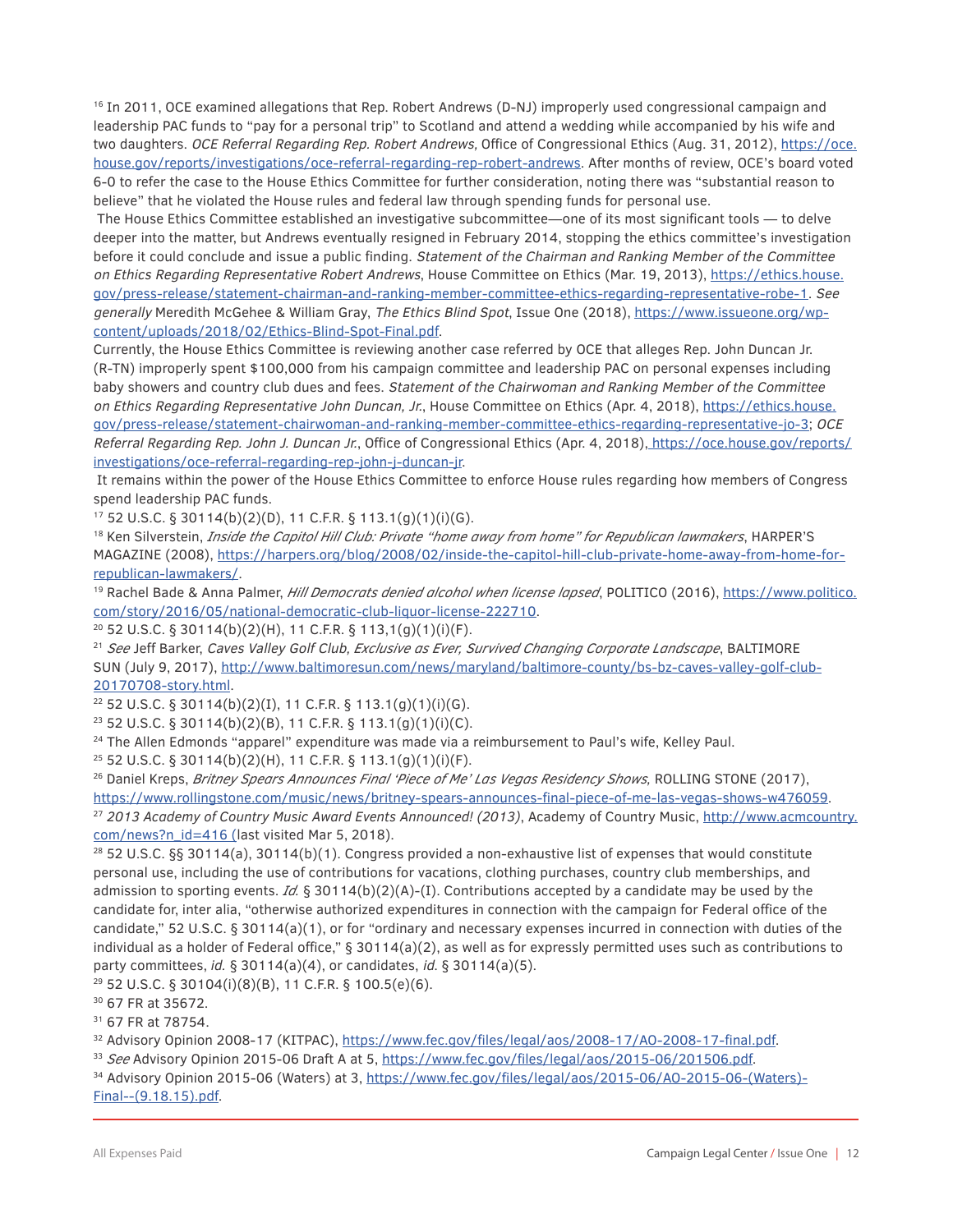<sup>16</sup> In 2011, OCE examined allegations that Rep. Robert Andrews (D-NJ) improperly used congressional campaign and leadership PAC funds to "pay for a personal trip" to Scotland and attend a wedding while accompanied by his wife and two daughters. OCE Referral Regarding Rep. Robert Andrews, Office of Congressional Ethics (Aug. 31, 2012), https://oce. house.gov/reports/investigations/oce-referral-regarding-rep-robert-andrews. After months of review, OCE's board voted 6-0 to refer the case to the House Ethics Committee for further consideration, noting there was "substantial reason to believe" that he violated the House rules and federal law through spending funds for personal use.

 The House Ethics Committee established an investigative subcommittee—one of its most significant tools — to delve deeper into the matter, but Andrews eventually resigned in February 2014, stopping the ethics committee's investigation before it could conclude and issue a public finding. Statement of the Chairman and Ranking Member of the Committee on Ethics Regarding Representative Robert Andrews, House Committee on Ethics (Mar. 19, 2013), https://ethics.house. gov/press-release/statement-chairman-and-ranking-member-committee-ethics-regarding-representative-robe-1. See generally Meredith McGehee & William Gray, The Ethics Blind Spot, Issue One (2018), https://www.issueone.org/wpcontent/uploads/2018/02/Ethics-Blind-Spot-Final.pdf.

Currently, the House Ethics Committee is reviewing another case referred by OCE that alleges Rep. John Duncan Jr. (R-TN) improperly spent \$100,000 from his campaign committee and leadership PAC on personal expenses including baby showers and country club dues and fees. Statement of the Chairwoman and Ranking Member of the Committee on Ethics Regarding Representative John Duncan, Jr., House Committee on Ethics (Apr. 4, 2018), https://ethics.house. gov/press-release/statement-chairwoman-and-ranking-member-committee-ethics-regarding-representative-jo-3; OCE Referral Regarding Rep. John J. Duncan Jr., Office of Congressional Ethics (Apr. 4, 2018), https://oce.house.gov/reports/ investigations/oce-referral-regarding-rep-john-j-duncan-jr.

 It remains within the power of the House Ethics Committee to enforce House rules regarding how members of Congress spend leadership PAC funds.

17 52 U.S.C. § 30114(b)(2)(D), 11 C.F.R. § 113.1(g)(1)(i)(G).

18 Ken Silverstein, *Inside the Capitol Hill Club: Private "home away from home" for Republican lawmakers*, HARPER'S MAGAZINE (2008), https://harpers.org/blog/2008/02/inside-the-capitol-hill-club-private-home-away-from-home-forrepublican-lawmakers/.

19 Rachel Bade & Anna Palmer, *Hill Democrats denied alcohol when license lapsed*, politico (2016), https://www.politico. com/story/2016/05/national-democratic-club-liquor-license-222710.

 $20$  52 U.S.C. § 30114(b)(2)(H), 11 C.F.R. § 113,1(g)(1)(i)(F).

<sup>21</sup> *See* Jeff Barker, Caves Valley Golf Club, *Exclusive as Ever, Survived Changing Corporate Landscape*, BALTIMORE SUN (July 9, 2017), http://www.baltimoresun.com/news/maryland/baltimore-county/bs-bz-caves-valley-golf-club-20170708-story.html.

<sup>22</sup> 52 U.S.C. § 30114(b)(2)(I), 11 C.F.R. § 113.1(g)(1)(i)(G).

<sup>23</sup> 52 U.S.C. § 30114(b)(2)(B), 11 C.F.R. § 113.1(q)(1)(i)(C).

<sup>24</sup> The Allen Edmonds "apparel" expenditure was made via a reimbursement to Paul's wife, Kelley Paul.

 $25$  52 U.S.C. § 30114(b)(2)(H), 11 C.F.R. § 113.1(g)(1)(i)(F).

26 Daniel Kreps, *Britney Spears Announces Final 'Piece of Me' Las Vegas Residency Shows,* ROLLING STONE (2017), https://www.rollingstone.com/music/news/britney-spears-announces-final-piece-of-me-las-vegas-shows-w476059.

<sup>27</sup> *2013 Academy of Country Music Award Events Announced! (2013)*, Academy of Country Music, http://www.acmcountry. com/news?n\_id=416 (last visited Mar 5, 2018).

<sup>28</sup> 52 U.S.C. §§ 30114(a), 30114(b)(1). Congress provided a non-exhaustive list of expenses that would constitute personal use, including the use of contributions for vacations, clothing purchases, country club memberships, and admission to sporting events. *Id.* § 30114(b)(2)(A)-(I). Contributions accepted by a candidate may be used by the candidate for, inter alia, "otherwise authorized expenditures in connection with the campaign for Federal office of the candidate," 52 U.S.C. § 30114(a)(1), or for "ordinary and necessary expenses incurred in connection with duties of the individual as a holder of Federal office,"  $\S$  30114(a)(2), as well as for expressly permitted uses such as contributions to party committees, *id.* § 30114(a)(4), or candidates, id. § 30114(a)(5).

 $29$  52 U.S.C. § 30104(i)(8)(B), 11 C.F.R. § 100.5(e)(6).

30 67 FR at 35672.

31 67 FR at 78754.

<sup>32</sup> Advisory Opinion 2008-17 (KITPAC), https://www.fec.gov/files/legal/aos/2008-17/AO-2008-17-final.pdf.

<sup>33</sup> *See* Advisory Opinion 2015-06 Draft A at 5, https://www.fec.gov/files/legal/aos/2015-06/201506.pdf.

34 Advisory Opinion 2015-06 (Waters) at 3, https://www.fec.gov/files/legal/aos/2015-06/AO-2015-06-(Waters)-

Final--(9.18.15).pdf.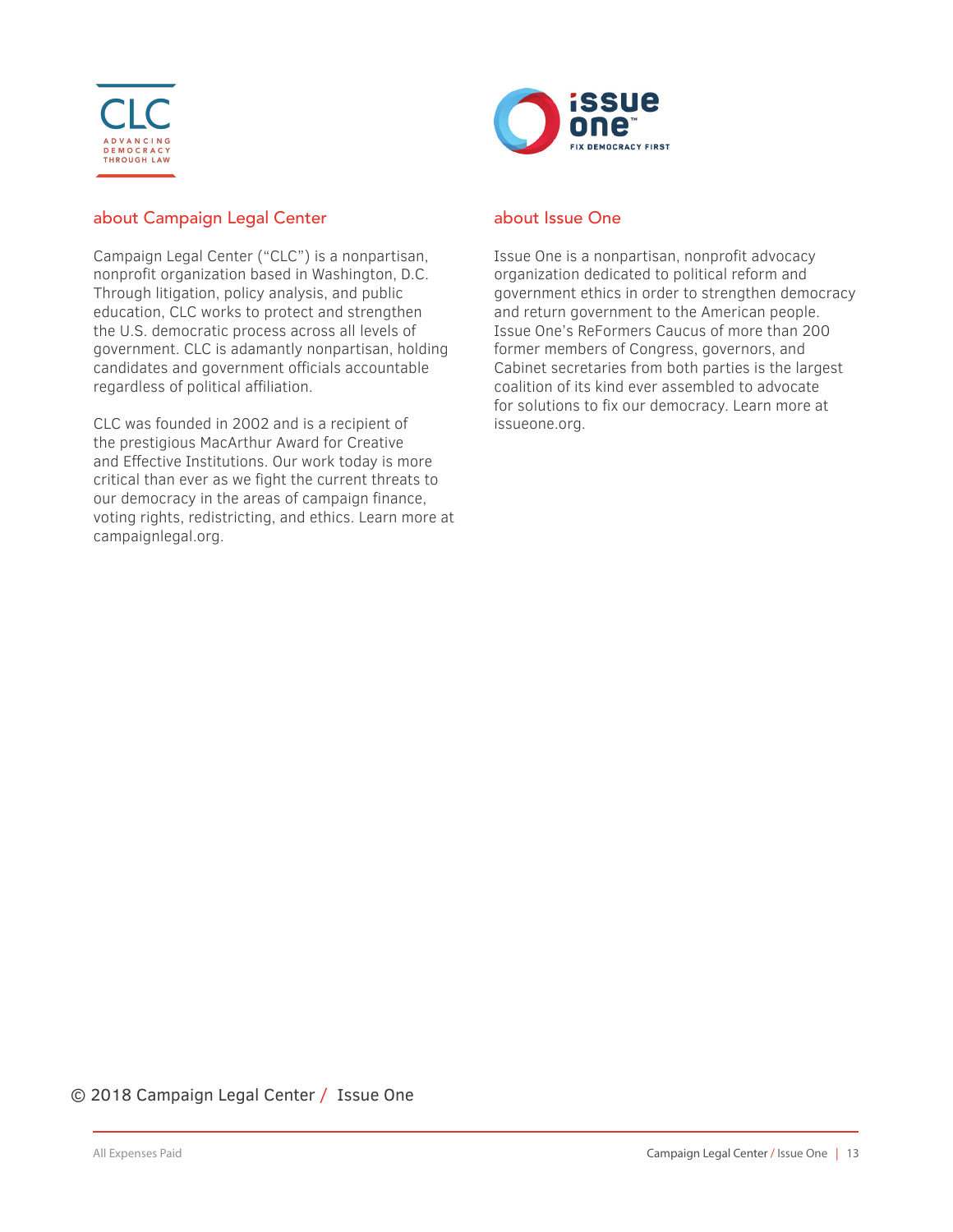

### about Campaign Legal Center

Campaign Legal Center ("CLC") is a nonpartisan, nonprofit organization based in Washington, D.C. Through litigation, policy analysis, and public education, CLC works to protect and strengthen the U.S. democratic process across all levels of government. CLC is adamantly nonpartisan, holding candidates and government officials accountable regardless of political affiliation.

CLC was founded in 2002 and is a recipient of the prestigious MacArthur Award for Creative and Effective Institutions. Our work today is more critical than ever as we fight the current threats to our democracy in the areas of campaign finance, voting rights, redistricting, and ethics. Learn more at campaignlegal.org.



#### about Issue One

Issue One is a nonpartisan, nonprofit advocacy organization dedicated to political reform and government ethics in order to strengthen democracy and return government to the American people. Issue One's ReFormers Caucus of more than 200 former members of Congress, governors, and Cabinet secretaries from both parties is the largest coalition of its kind ever assembled to advocate for solutions to fix our democracy. Learn more at issueone.org.

### © 2018 Campaign Legal Center / Issue One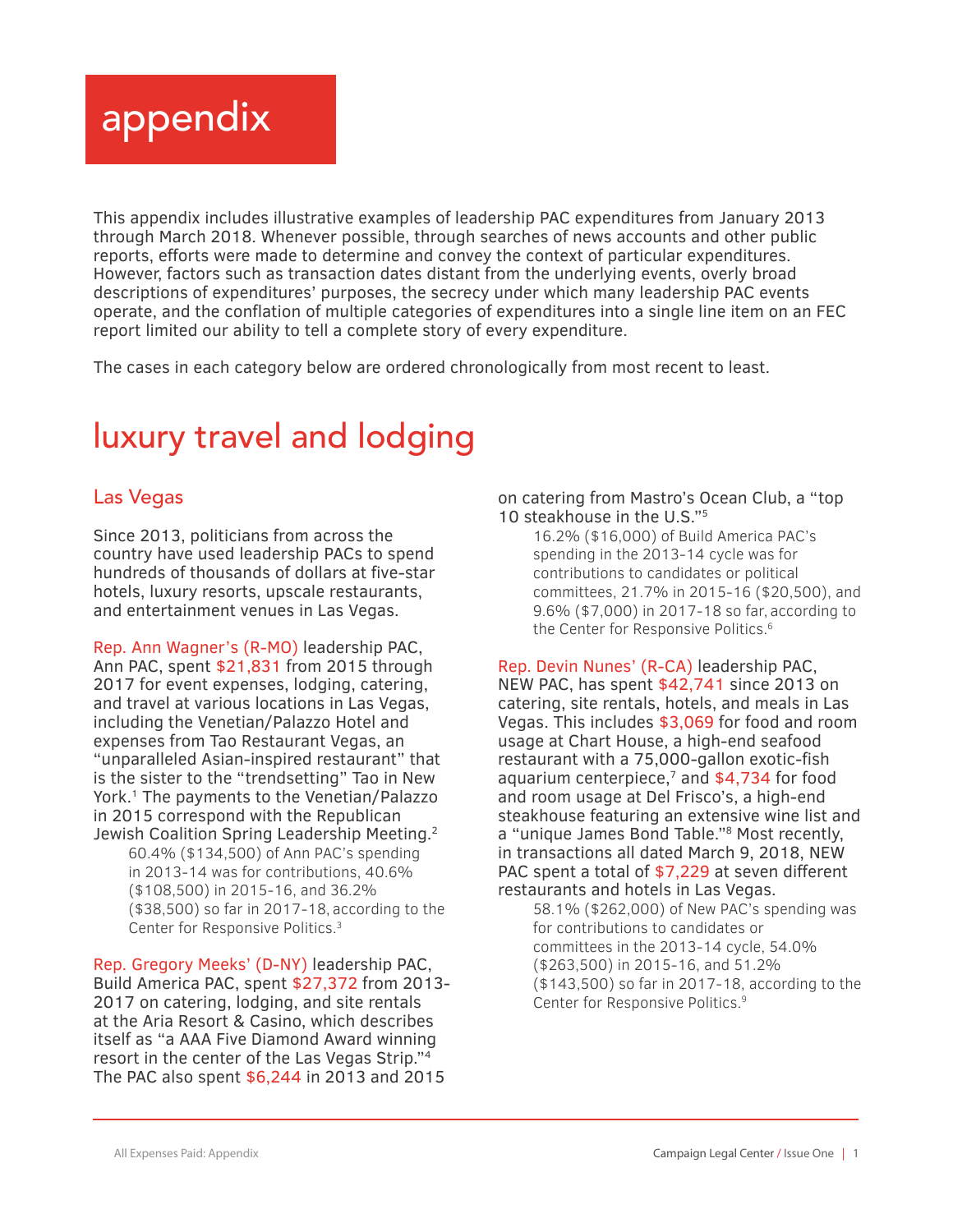### appendix

This appendix includes illustrative examples of leadership PAC expenditures from January 2013 through March 2018. Whenever possible, through searches of news accounts and other public reports, efforts were made to determine and convey the context of particular expenditures. However, factors such as transaction dates distant from the underlying events, overly broad descriptions of expenditures' purposes, the secrecy under which many leadership PAC events operate, and the conflation of multiple categories of expenditures into a single line item on an FEC report limited our ability to tell a complete story of every expenditure.

The cases in each category below are ordered chronologically from most recent to least.

### luxury travel and lodging

### Las Vegas

Since 2013, politicians from across the country have used leadership PACs to spend hundreds of thousands of dollars at five-star hotels, luxury resorts, upscale restaurants, and entertainment venues in Las Vegas.

Rep. Ann Wagner's (R-MO) leadership PAC, Ann PAC, spent \$21,831 from 2015 through 2017 for event expenses, lodging, catering, and travel at various locations in Las Vegas, including the Venetian/Palazzo Hotel and expenses from Tao Restaurant Vegas, an "unparalleled Asian-inspired restaurant" that is the sister to the "trendsetting" Tao in New York.<sup>1</sup> The payments to the Venetian/Palazzo in 2015 correspond with the Republican Jewish Coalition Spring Leadership Meeting.2 60.4% (\$134,500) of Ann PAC's spending in 2013-14 was for contributions, 40.6% (\$108,500) in 2015-16, and 36.2% (\$38,500) so far in 2017-18, according to the Center for Responsive Politics.3

Rep. Gregory Meeks' (D-NY) leadership PAC, Build America PAC, spent \$27,372 from 2013- 2017 on catering, lodging, and site rentals at the Aria Resort & Casino, which describes itself as "a AAA Five Diamond Award winning resort in the center of the Las Vegas Strip."4 The PAC also spent \$6,244 in 2013 and 2015

#### on catering from Mastro's Ocean Club, a "top 10 steakhouse in the U.S."5

16.2% (\$16,000) of Build America PAC's spending in the 2013-14 cycle was for contributions to candidates or political committees, 21.7% in 2015-16 (\$20,500), and 9.6% (\$7,000) in 2017-18 so far, according to the Center for Responsive Politics.<sup>6</sup>

Rep. Devin Nunes' (R-CA) leadership PAC, NEW PAC, has spent \$42,741 since 2013 on catering, site rentals, hotels, and meals in Las Vegas. This includes \$3,069 for food and room usage at Chart House, a high-end seafood restaurant with a 75,000-gallon exotic-fish aquarium centerpiece,<sup>7</sup> and \$4,734 for food and room usage at Del Frisco's, a high-end steakhouse featuring an extensive wine list and a "unique James Bond Table."8 Most recently, in transactions all dated March 9, 2018, NEW PAC spent a total of \$7,229 at seven different restaurants and hotels in Las Vegas.

58.1% (\$262,000) of New PAC's spending was for contributions to candidates or committees in the 2013-14 cycle, 54.0% (\$263,500) in 2015-16, and 51.2% (\$143,500) so far in 2017-18, according to the Center for Responsive Politics.9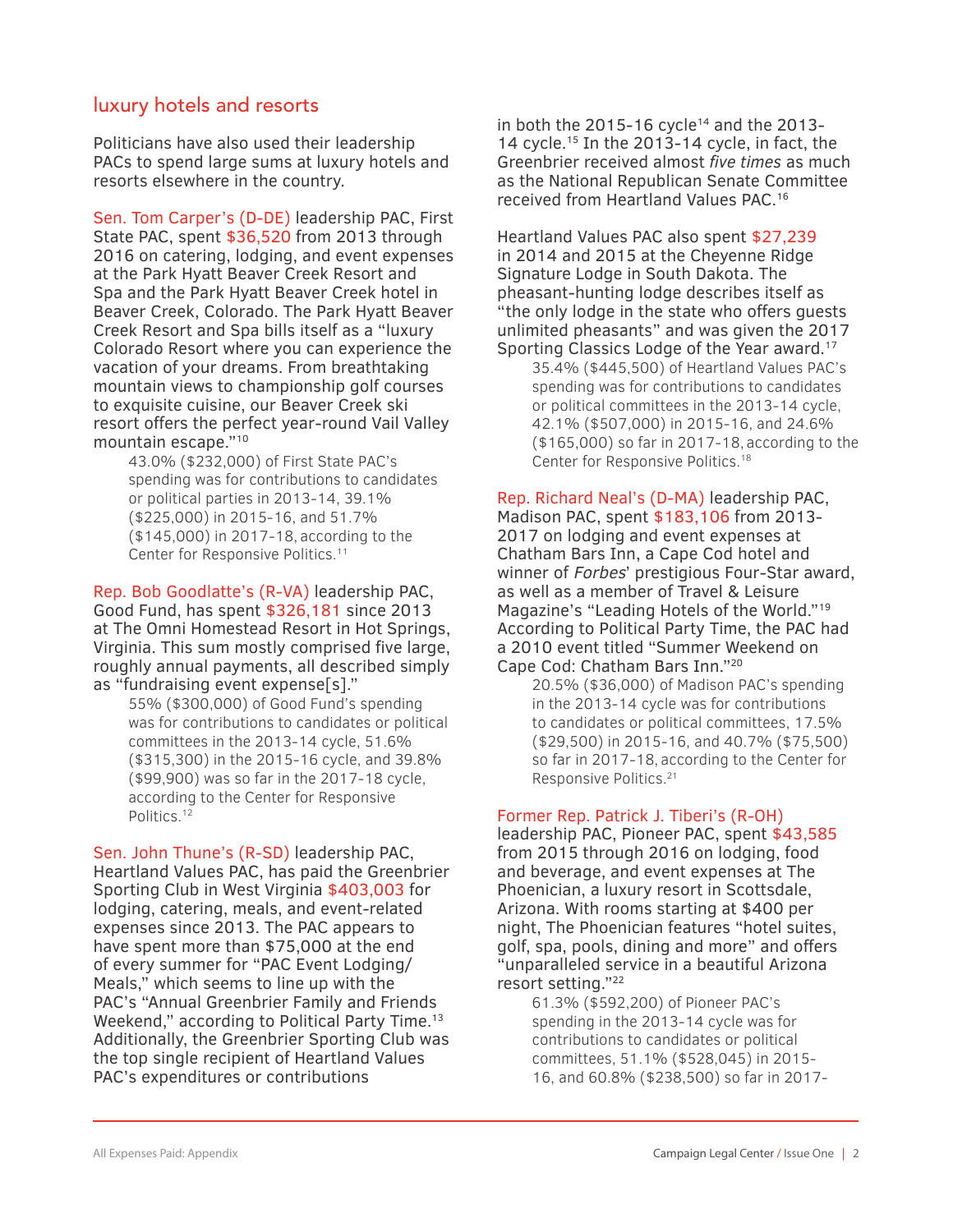### luxury hotels and resorts

Politicians have also used their leadership PACs to spend large sums at luxury hotels and resorts elsewhere in the country.

Sen. Tom Carper's (D-DE) leadership PAC, First State PAC, spent \$36,520 from 2013 through 2016 on catering, lodging, and event expenses at the Park Hyatt Beaver Creek Resort and Spa and the Park Hyatt Beaver Creek hotel in Beaver Creek, Colorado. The Park Hyatt Beaver Creek Resort and Spa bills itself as a "luxury Colorado Resort where you can experience the vacation of your dreams. From breathtaking mountain views to championship golf courses to exquisite cuisine, our Beaver Creek ski resort offers the perfect year-round Vail Valley mountain escape."10

43.0% (\$232,000) of First State PAC's spending was for contributions to candidates or political parties in 2013-14, 39.1% (\$225,000) in 2015-16, and 51.7% (\$145,000) in 2017-18, according to the Center for Responsive Politics.<sup>11</sup>

Rep. Bob Goodlatte's (R-VA) leadership PAC, Good Fund, has spent \$326,181 since 2013 at The Omni Homestead Resort in Hot Springs, Virginia. This sum mostly comprised five large, roughly annual payments, all described simply as "fundraising event expense[s]."

55% (\$300,000) of Good Fund's spending was for contributions to candidates or political committees in the 2013-14 cycle, 51.6% (\$315,300) in the 2015-16 cycle, and 39.8% (\$99,900) was so far in the 2017-18 cycle, according to the Center for Responsive Politics.12

Sen. John Thune's (R-SD) leadership PAC, Heartland Values PAC, has paid the Greenbrier Sporting Club in West Virginia \$403,003 for lodging, catering, meals, and event-related expenses since 2013. The PAC appears to have spent more than \$75,000 at the end of every summer for "PAC Event Lodging/ Meals," which seems to line up with the PAC's "Annual Greenbrier Family and Friends Weekend," according to Political Party Time.<sup>13</sup> Additionally, the Greenbrier Sporting Club was the top single recipient of Heartland Values PAC's expenditures or contributions

in both the 2015-16 cycle<sup>14</sup> and the 2013-14 cycle.<sup>15</sup> In the 2013-14 cycle, in fact, the Greenbrier received almost *five times* as much as the National Republican Senate Committee received from Heartland Values PAC.16

Heartland Values PAC also spent \$27,239 in 2014 and 2015 at the Cheyenne Ridge Signature Lodge in South Dakota. The pheasant-hunting lodge describes itself as "the only lodge in the state who offers guests unlimited pheasants" and was given the 2017 Sporting Classics Lodge of the Year award.<sup>17</sup>

35.4% (\$445,500) of Heartland Values PAC's spending was for contributions to candidates or political committees in the 2013-14 cycle, 42.1% (\$507,000) in 2015-16, and 24.6% (\$165,000) so far in 2017-18, according to the Center for Responsive Politics.<sup>18</sup>

Rep. Richard Neal's (D-MA) leadership PAC, Madison PAC, spent \$183,106 from 2013- 2017 on lodging and event expenses at Chatham Bars Inn, a Cape Cod hotel and winner of Forbes' prestigious Four-Star award, as well as a member of Travel & Leisure Magazine's "Leading Hotels of the World."19 According to Political Party Time, the PAC had a 2010 event titled "Summer Weekend on Cape Cod: Chatham Bars Inn."20

20.5% (\$36,000) of Madison PAC's spending in the 2013-14 cycle was for contributions to candidates or political committees, 17.5% (\$29,500) in 2015-16, and 40.7% (\$75,500) so far in 2017-18, according to the Center for Responsive Politics.21

#### Former Rep. Patrick J. Tiberi's (R-OH)

leadership PAC, Pioneer PAC, spent \$43,585 from 2015 through 2016 on lodging, food and beverage, and event expenses at The Phoenician, a luxury resort in Scottsdale, Arizona. With rooms starting at \$400 per night, The Phoenician features "hotel suites, golf, spa, pools, dining and more" and offers "unparalleled service in a beautiful Arizona resort setting."22

> 61.3% (\$592,200) of Pioneer PAC's spending in the 2013-14 cycle was for contributions to candidates or political committees, 51.1% (\$528,045) in 2015- 16, and 60.8% (\$238,500) so far in 2017-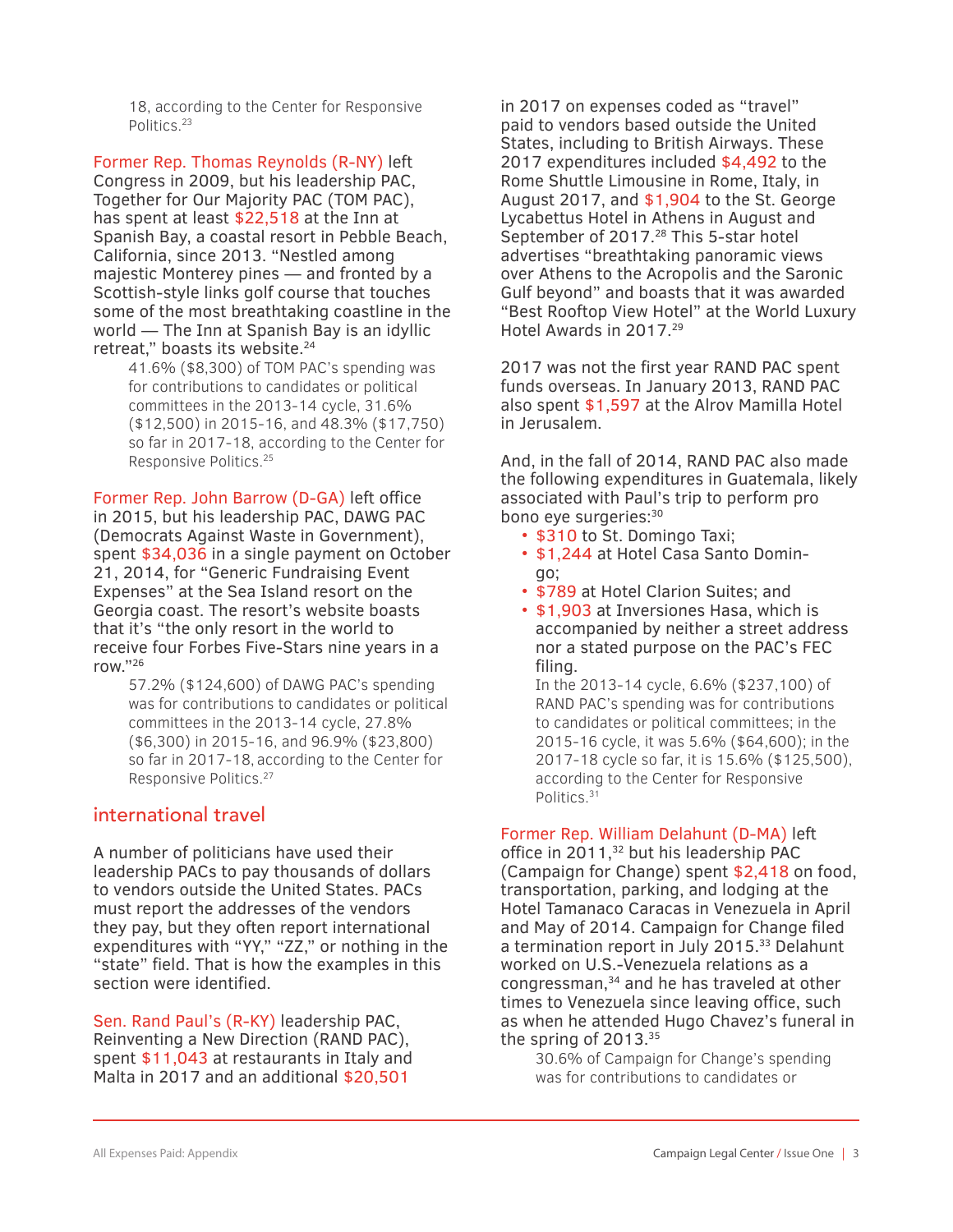18, according to the Center for Responsive Politics.23

Former Rep. Thomas Reynolds (R-NY) left Congress in 2009, but his leadership PAC, Together for Our Majority PAC (TOM PAC), has spent at least \$22,518 at the Inn at Spanish Bay, a coastal resort in Pebble Beach, California, since 2013. "Nestled among majestic Monterey pines — and fronted by a Scottish-style links golf course that touches some of the most breathtaking coastline in the world — The Inn at Spanish Bay is an idyllic retreat," boasts its website.<sup>24</sup>

41.6% (\$8,300) of TOM PAC's spending was for contributions to candidates or political committees in the 2013-14 cycle, 31.6% (\$12,500) in 2015-16, and 48.3% (\$17,750) so far in 2017-18, according to the Center for Responsive Politics.25

Former Rep. John Barrow (D-GA) left office in 2015, but his leadership PAC, DAWG PAC (Democrats Against Waste in Government), spent \$34,036 in a single payment on October 21, 2014, for "Generic Fundraising Event Expenses" at the Sea Island resort on the Georgia coast. The resort's website boasts that it's "the only resort in the world to receive four Forbes Five-Stars nine years in a row."26

57.2% (\$124,600) of DAWG PAC's spending was for contributions to candidates or political committees in the 2013-14 cycle, 27.8% (\$6,300) in 2015-16, and 96.9% (\$23,800) so far in 2017-18, according to the Center for Responsive Politics.27

### international travel

A number of politicians have used their leadership PACs to pay thousands of dollars to vendors outside the United States. PACs must report the addresses of the vendors they pay, but they often report international expenditures with "YY," "ZZ," or nothing in the "state" field. That is how the examples in this section were identified.

Sen. Rand Paul's (R-KY) leadership PAC, Reinventing a New Direction (RAND PAC), spent \$11,043 at restaurants in Italy and Malta in 2017 and an additional \$20,501

in 2017 on expenses coded as "travel" paid to vendors based outside the United States, including to British Airways. These 2017 expenditures included \$4,492 to the Rome Shuttle Limousine in Rome, Italy, in August 2017, and \$1,904 to the St. George Lycabettus Hotel in Athens in August and September of 2017.<sup>28</sup> This 5-star hotel advertises "breathtaking panoramic views over Athens to the Acropolis and the Saronic Gulf beyond" and boasts that it was awarded "Best Rooftop View Hotel" at the World Luxury Hotel Awards in 2017.29

2017 was not the first year RAND PAC spent funds overseas. In January 2013, RAND PAC also spent \$1,597 at the Alrov Mamilla Hotel in Jerusalem.

And, in the fall of 2014, RAND PAC also made the following expenditures in Guatemala, likely associated with Paul's trip to perform pro bono eye surgeries:<sup>30</sup>

- \$310 to St. Domingo Taxi;
- \$1,244 at Hotel Casa Santo Domingo;
- \$789 at Hotel Clarion Suites; and
- \$1,903 at Inversiones Hasa, which is accompanied by neither a street address nor a stated purpose on the PAC's FEC filing.

In the 2013-14 cycle, 6.6% (\$237,100) of RAND PAC's spending was for contributions to candidates or political committees; in the 2015-16 cycle, it was 5.6% (\$64,600); in the 2017-18 cycle so far, it is 15.6% (\$125,500), according to the Center for Responsive Politics.31

#### Former Rep. William Delahunt (D-MA) left

office in 2011,<sup>32</sup> but his leadership PAC (Campaign for Change) spent \$2,418 on food, transportation, parking, and lodging at the Hotel Tamanaco Caracas in Venezuela in April and May of 2014. Campaign for Change filed a termination report in July 2015.<sup>33</sup> Delahunt worked on U.S.-Venezuela relations as a congressman,34 and he has traveled at other times to Venezuela since leaving office, such as when he attended Hugo Chavez's funeral in the spring of 2013.35

30.6% of Campaign for Change's spending was for contributions to candidates or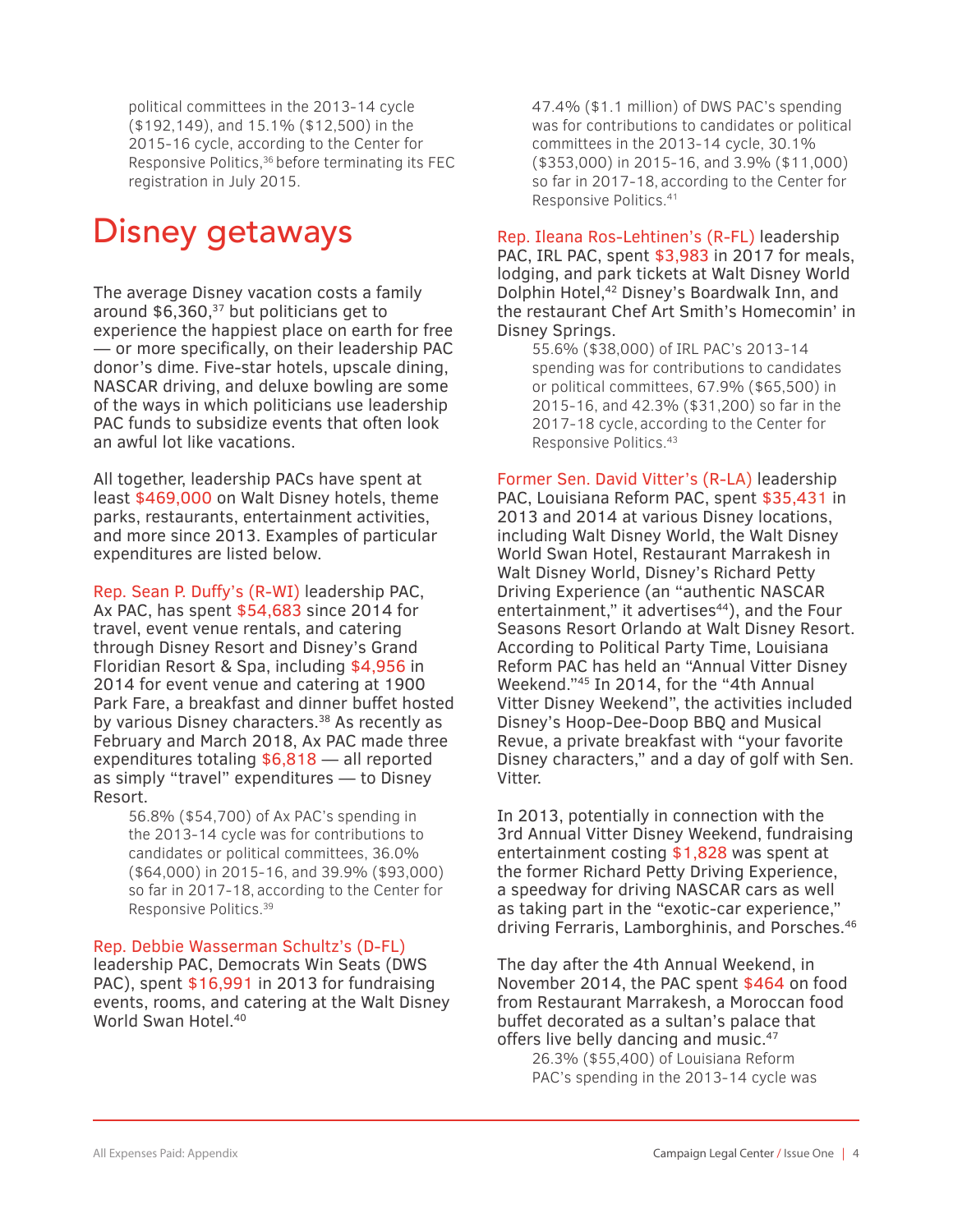political committees in the 2013-14 cycle (\$192,149), and 15.1% (\$12,500) in the 2015-16 cycle, according to the Center for Responsive Politics,<sup>36</sup> before terminating its FEC registration in July 2015.

### Disney getaways

The average Disney vacation costs a family around  $$6,360<sup>37</sup>$  but politicians get to experience the happiest place on earth for free — or more specifically, on their leadership PAC donor's dime. Five-star hotels, upscale dining, NASCAR driving, and deluxe bowling are some of the ways in which politicians use leadership PAC funds to subsidize events that often look an awful lot like vacations.

All together, leadership PACs have spent at least \$469,000 on Walt Disney hotels, theme parks, restaurants, entertainment activities, and more since 2013. Examples of particular expenditures are listed below.

Rep. Sean P. Duffy's (R-WI) leadership PAC, Ax PAC, has spent \$54,683 since 2014 for travel, event venue rentals, and catering through Disney Resort and Disney's Grand Floridian Resort & Spa, including \$4,956 in 2014 for event venue and catering at 1900 Park Fare, a breakfast and dinner buffet hosted by various Disney characters.<sup>38</sup> As recently as February and March 2018, Ax PAC made three expenditures totaling \$6,818 — all reported as simply "travel" expenditures — to Disney Resort.

56.8% (\$54,700) of Ax PAC's spending in the 2013-14 cycle was for contributions to candidates or political committees, 36.0% (\$64,000) in 2015-16, and 39.9% (\$93,000) so far in 2017-18, according to the Center for Responsive Politics.39

Rep. Debbie Wasserman Schultz's (D-FL)

leadership PAC, Democrats Win Seats (DWS PAC), spent \$16,991 in 2013 for fundraising events, rooms, and catering at the Walt Disney World Swan Hotel.<sup>40</sup>

47.4% (\$1.1 million) of DWS PAC's spending was for contributions to candidates or political committees in the 2013-14 cycle, 30.1% (\$353,000) in 2015-16, and 3.9% (\$11,000) so far in 2017-18, according to the Center for Responsive Politics.41

Rep. Ileana Ros-Lehtinen's (R-FL) leadership PAC, IRL PAC, spent \$3,983 in 2017 for meals, lodging, and park tickets at Walt Disney World Dolphin Hotel,<sup>42</sup> Disney's Boardwalk Inn, and the restaurant Chef Art Smith's Homecomin' in Disney Springs.

55.6% (\$38,000) of IRL PAC's 2013-14 spending was for contributions to candidates or political committees, 67.9% (\$65,500) in 2015-16, and 42.3% (\$31,200) so far in the 2017-18 cycle, according to the Center for Responsive Politics.43

Former Sen. David Vitter's (R-LA) leadership PAC, Louisiana Reform PAC, spent \$35,431 in 2013 and 2014 at various Disney locations, including Walt Disney World, the Walt Disney World Swan Hotel, Restaurant Marrakesh in Walt Disney World, Disney's Richard Petty Driving Experience (an "authentic NASCAR entertainment," it advertises<sup>44</sup>), and the Four Seasons Resort Orlando at Walt Disney Resort. According to Political Party Time, Louisiana Reform PAC has held an "Annual Vitter Disney Weekend."45 In 2014, for the "4th Annual Vitter Disney Weekend", the activities included Disney's Hoop-Dee-Doop BBQ and Musical Revue, a private breakfast with "your favorite Disney characters," and a day of golf with Sen. Vitter.

In 2013, potentially in connection with the 3rd Annual Vitter Disney Weekend, fundraising entertainment costing \$1,828 was spent at the former Richard Petty Driving Experience, a speedway for driving NASCAR cars as well as taking part in the "exotic-car experience," driving Ferraris, Lamborghinis, and Porsches.46

The day after the 4th Annual Weekend, in November 2014, the PAC spent \$464 on food from Restaurant Marrakesh, a Moroccan food buffet decorated as a sultan's palace that offers live belly dancing and music.<sup>47</sup> 26.3% (\$55,400) of Louisiana Reform PAC's spending in the 2013-14 cycle was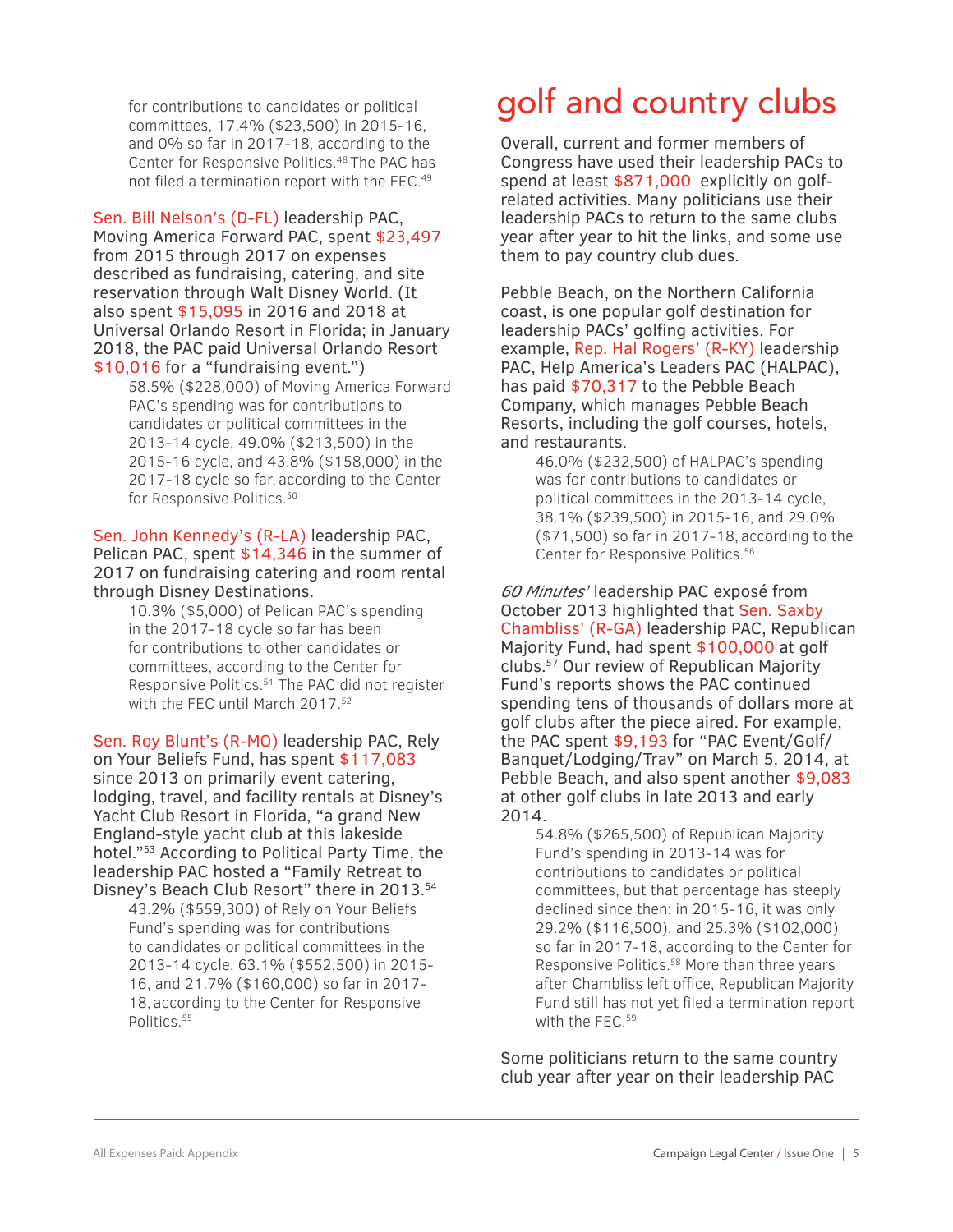for contributions to candidates or political committees, 17.4% (\$23,500) in 2015-16, and 0% so far in 2017-18, according to the Center for Responsive Politics.48 The PAC has not filed a termination report with the FEC.<sup>49</sup>

Sen. Bill Nelson's (D-FL) leadership PAC, Moving America Forward PAC, spent \$23,497 from 2015 through 2017 on expenses described as fundraising, catering, and site reservation through Walt Disney World. (It also spent \$15,095 in 2016 and 2018 at Universal Orlando Resort in Florida; in January 2018, the PAC paid Universal Orlando Resort \$10,016 for a "fundraising event.")

58.5% (\$228,000) of Moving America Forward PAC's spending was for contributions to candidates or political committees in the 2013-14 cycle, 49.0% (\$213,500) in the 2015-16 cycle, and 43.8% (\$158,000) in the 2017-18 cycle so far, according to the Center for Responsive Politics.<sup>50</sup>

Sen. John Kennedy's (R-LA) leadership PAC, Pelican PAC, spent \$14,346 in the summer of 2017 on fundraising catering and room rental through Disney Destinations.

10.3% (\$5,000) of Pelican PAC's spending in the 2017-18 cycle so far has been for contributions to other candidates or committees, according to the Center for Responsive Politics. 51 The PAC did not register with the FEC until March 2017.<sup>52</sup>

Sen. Roy Blunt's (R-MO) leadership PAC, Rely on Your Beliefs Fund, has spent \$117,083 since 2013 on primarily event catering, lodging, travel, and facility rentals at Disney's Yacht Club Resort in Florida, "a grand New England-style yacht club at this lakeside hotel."53 According to Political Party Time, the leadership PAC hosted a "Family Retreat to Disney's Beach Club Resort" there in 2013.<sup>54</sup>

43.2% (\$559,300) of Rely on Your Beliefs Fund's spending was for contributions to candidates or political committees in the 2013-14 cycle, 63.1% (\$552,500) in 2015- 16, and 21.7% (\$160,000) so far in 2017- 18, according to the Center for Responsive Politics.<sup>55</sup>

### golf and country clubs

Overall, current and former members of Congress have used their leadership PACs to spend at least \$871,000 explicitly on golfrelated activities. Many politicians use their leadership PACs to return to the same clubs year after year to hit the links, and some use them to pay country club dues.

Pebble Beach, on the Northern California coast, is one popular golf destination for leadership PACs' golfing activities. For example, Rep. Hal Rogers' (R-KY) leadership PAC, Help America's Leaders PAC (HALPAC), has paid \$70,317 to the Pebble Beach Company, which manages Pebble Beach Resorts, including the golf courses, hotels, and restaurants.

46.0% (\$232,500) of HALPAC's spending was for contributions to candidates or political committees in the 2013-14 cycle, 38.1% (\$239,500) in 2015-16, and 29.0% (\$71,500) so far in 2017-18, according to the Center for Responsive Politics.<sup>56</sup>

*60 Minutes*' leadership PAC exposé from October 2013 highlighted that Sen. Saxby Chambliss' (R-GA) leadership PAC, Republican Majority Fund, had spent \$100,000 at golf clubs.57 Our review of Republican Majority Fund's reports shows the PAC continued spending tens of thousands of dollars more at golf clubs after the piece aired. For example, the PAC spent \$9,193 for "PAC Event/Golf/ Banquet/Lodging/Trav" on March 5, 2014, at Pebble Beach, and also spent another \$9,083 at other golf clubs in late 2013 and early 2014.

54.8% (\$265,500) of Republican Majority Fund's spending in 2013-14 was for contributions to candidates or political committees, but that percentage has steeply declined since then: in 2015-16, it was only 29.2% (\$116,500), and 25.3% (\$102,000) so far in 2017-18, according to the Center for Responsive Politics.<sup>58</sup> More than three years after Chambliss left office, Republican Majority Fund still has not yet filed a termination report with the FEC.<sup>59</sup>

Some politicians return to the same country club year after year on their leadership PAC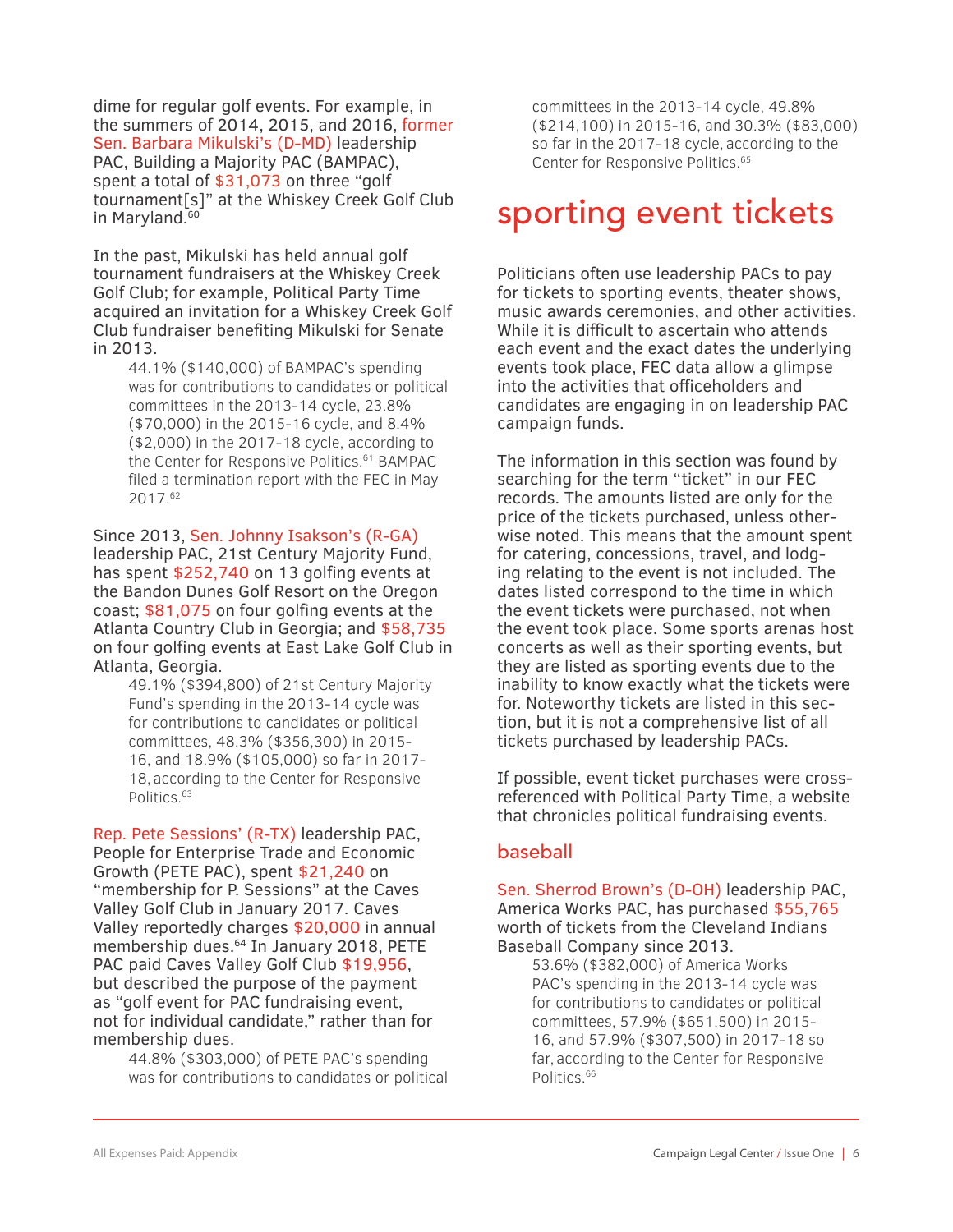dime for regular golf events. For example, in the summers of 2014, 2015, and 2016, former Sen. Barbara Mikulski's (D-MD) leadership PAC, Building a Majority PAC (BAMPAC), spent a total of \$31,073 on three "golf tournament[s]" at the Whiskey Creek Golf Club in Maryland.<sup>60</sup>

In the past, Mikulski has held annual golf tournament fundraisers at the Whiskey Creek Golf Club; for example, Political Party Time acquired an invitation for a Whiskey Creek Golf Club fundraiser benefiting Mikulski for Senate in 2013.

44.1% (\$140,000) of BAMPAC's spending was for contributions to candidates or political committees in the 2013-14 cycle, 23.8% (\$70,000) in the 2015-16 cycle, and 8.4% (\$2,000) in the 2017-18 cycle, according to the Center for Responsive Politics.<sup>61</sup> BAMPAC filed a termination report with the FEC in May 2017.62

Since 2013, Sen. Johnny Isakson's (R-GA) leadership PAC, 21st Century Majority Fund, has spent \$252,740 on 13 golfing events at the Bandon Dunes Golf Resort on the Oregon coast; \$81,075 on four golfing events at the Atlanta Country Club in Georgia; and \$58,735 on four golfing events at East Lake Golf Club in Atlanta, Georgia.

49.1% (\$394,800) of 21st Century Majority Fund's spending in the 2013-14 cycle was for contributions to candidates or political committees, 48.3% (\$356,300) in 2015- 16, and 18.9% (\$105,000) so far in 2017- 18, according to the Center for Responsive Politics.<sup>63</sup>

Rep. Pete Sessions' (R-TX) leadership PAC, People for Enterprise Trade and Economic Growth (PETE PAC), spent \$21,240 on "membership for P. Sessions" at the Caves Valley Golf Club in January 2017. Caves Valley reportedly charges \$20,000 in annual membership dues.64 In January 2018, PETE PAC paid Caves Valley Golf Club \$19,956, but described the purpose of the payment as "golf event for PAC fundraising event, not for individual candidate," rather than for membership dues.

44.8% (\$303,000) of PETE PAC's spending was for contributions to candidates or political committees in the 2013-14 cycle, 49.8% (\$214,100) in 2015-16, and 30.3% (\$83,000) so far in the 2017-18 cycle, according to the Center for Responsive Politics.<sup>65</sup>

### sporting event tickets

Politicians often use leadership PACs to pay for tickets to sporting events, theater shows, music awards ceremonies, and other activities. While it is difficult to ascertain who attends each event and the exact dates the underlying events took place, FEC data allow a glimpse into the activities that officeholders and candidates are engaging in on leadership PAC campaign funds.

The information in this section was found by searching for the term "ticket" in our FEC records. The amounts listed are only for the price of the tickets purchased, unless otherwise noted. This means that the amount spent for catering, concessions, travel, and lodging relating to the event is not included. The dates listed correspond to the time in which the event tickets were purchased, not when the event took place. Some sports arenas host concerts as well as their sporting events, but they are listed as sporting events due to the inability to know exactly what the tickets were for. Noteworthy tickets are listed in this section, but it is not a comprehensive list of all tickets purchased by leadership PACs.

If possible, event ticket purchases were crossreferenced with Political Party Time, a website that chronicles political fundraising events.

### baseball

Sen. Sherrod Brown's (D-OH) leadership PAC, America Works PAC, has purchased \$55,765 worth of tickets from the Cleveland Indians Baseball Company since 2013.

53.6% (\$382,000) of America Works PAC's spending in the 2013-14 cycle was for contributions to candidates or political committees, 57.9% (\$651,500) in 2015- 16, and 57.9% (\$307,500) in 2017-18 so far, according to the Center for Responsive Politics.<sup>66</sup>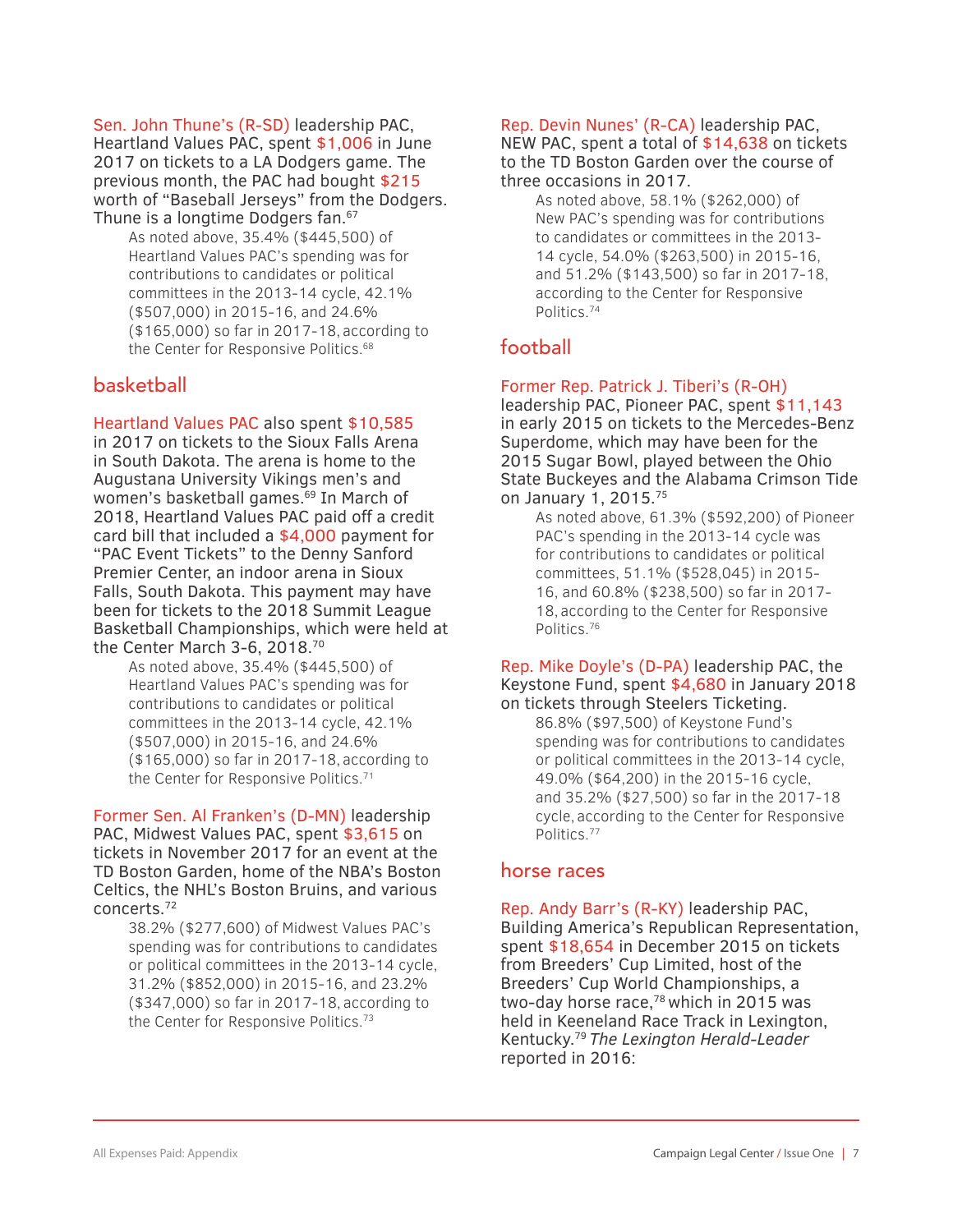Sen. John Thune's (R-SD) leadership PAC, Heartland Values PAC, spent \$1,006 in June 2017 on tickets to a LA Dodgers game. The previous month, the PAC had bought \$215 worth of "Baseball Jerseys" from the Dodgers. Thune is a longtime Dodgers fan.<sup>67</sup>

As noted above, 35.4% (\$445,500) of Heartland Values PAC's spending was for contributions to candidates or political committees in the 2013-14 cycle, 42.1% (\$507,000) in 2015-16, and 24.6% (\$165,000) so far in 2017-18, according to the Center for Responsive Politics.<sup>68</sup>

### basketball

Heartland Values PAC also spent \$10,585

in 2017 on tickets to the Sioux Falls Arena in South Dakota. The arena is home to the Augustana University Vikings men's and women's basketball games.<sup>69</sup> In March of 2018, Heartland Values PAC paid off a credit card bill that included a \$4,000 payment for "PAC Event Tickets" to the Denny Sanford Premier Center, an indoor arena in Sioux Falls, South Dakota. This payment may have been for tickets to the 2018 Summit League Basketball Championships, which were held at the Center March 3-6, 2018.70

As noted above, 35.4% (\$445,500) of Heartland Values PAC's spending was for contributions to candidates or political committees in the 2013-14 cycle, 42.1% (\$507,000) in 2015-16, and 24.6% (\$165,000) so far in 2017-18, according to the Center for Responsive Politics.<sup>71</sup>

Former Sen. Al Franken's (D-MN) leadership PAC, Midwest Values PAC, spent \$3,615 on tickets in November 2017 for an event at the TD Boston Garden, home of the NBA's Boston Celtics, the NHL's Boston Bruins, and various concerts.72

38.2% (\$277,600) of Midwest Values PAC's spending was for contributions to candidates or political committees in the 2013-14 cycle, 31.2% (\$852,000) in 2015-16, and 23.2% (\$347,000) so far in 2017-18, according to the Center for Responsive Politics.<sup>73</sup>

Rep. Devin Nunes' (R-CA) leadership PAC, NEW PAC, spent a total of \$14,638 on tickets to the TD Boston Garden over the course of three occasions in 2017.

As noted above, 58.1% (\$262,000) of New PAC's spending was for contributions to candidates or committees in the 2013- 14 cycle, 54.0% (\$263,500) in 2015-16, and 51.2% (\$143,500) so far in 2017-18, according to the Center for Responsive Politics.74

### football

#### Former Rep. Patrick J. Tiberi's (R-OH)

leadership PAC, Pioneer PAC, spent \$11,143 in early 2015 on tickets to the Mercedes-Benz Superdome, which may have been for the 2015 Sugar Bowl, played between the Ohio State Buckeyes and the Alabama Crimson Tide on January 1, 2015.75

As noted above, 61.3% (\$592,200) of Pioneer PAC's spending in the 2013-14 cycle was for contributions to candidates or political committees, 51.1% (\$528,045) in 2015- 16, and 60.8% (\$238,500) so far in 2017- 18, according to the Center for Responsive Politics.76

Rep. Mike Doyle's (D-PA) leadership PAC, the Keystone Fund, spent \$4,680 in January 2018 on tickets through Steelers Ticketing.

86.8% (\$97,500) of Keystone Fund's spending was for contributions to candidates or political committees in the 2013-14 cycle, 49.0% (\$64,200) in the 2015-16 cycle, and 35.2% (\$27,500) so far in the 2017-18 cycle, according to the Center for Responsive Politics.77

### horse races

Rep. Andy Barr's (R-KY) leadership PAC, Building America's Republican Representation, spent \$18,654 in December 2015 on tickets from Breeders' Cup Limited, host of the Breeders' Cup World Championships, a two-day horse race, $78$  which in 2015 was held in Keeneland Race Track in Lexington, Kentucky.79 *The Lexington Herald-Leader* reported in 2016: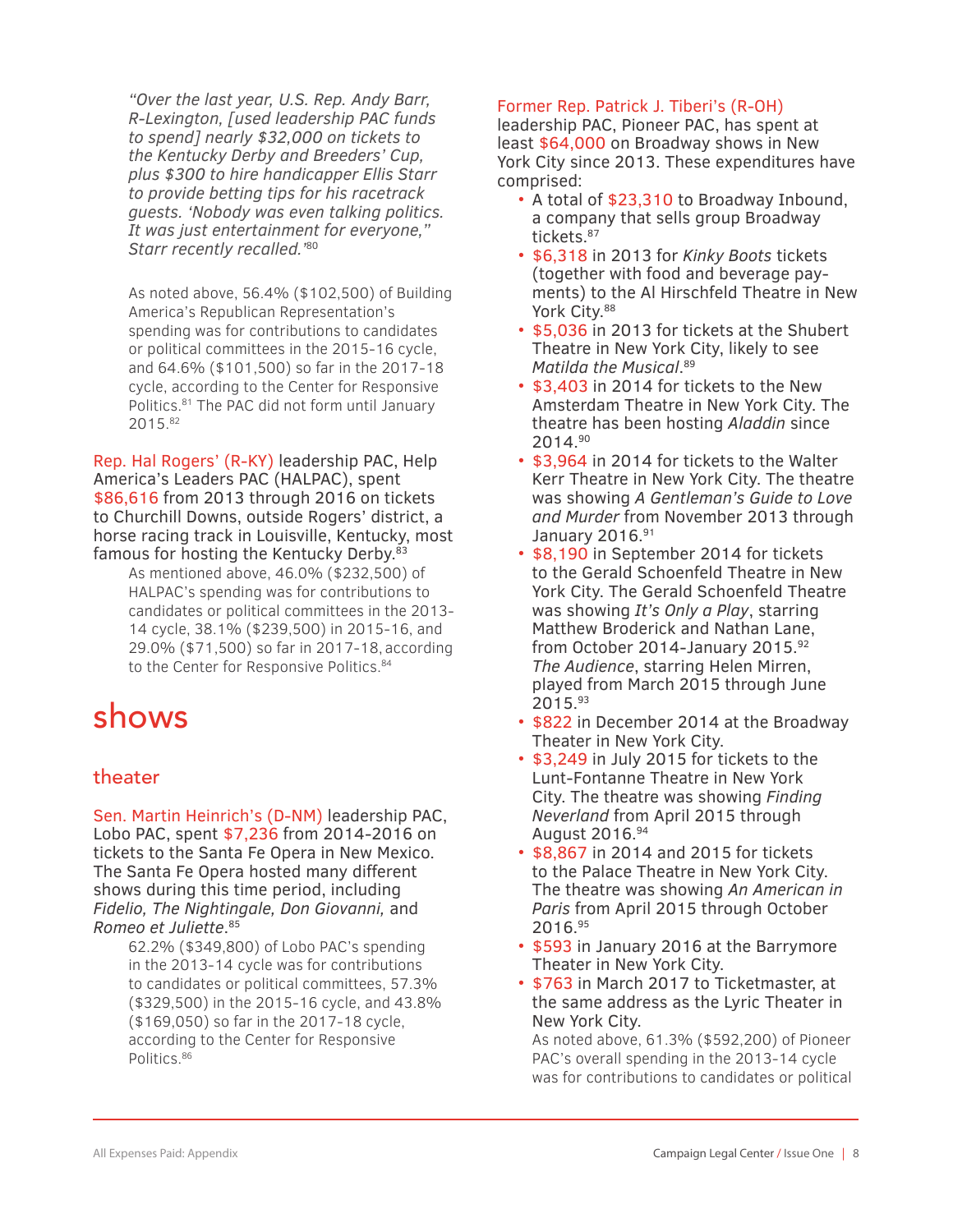*"Over the last year, U.S. Rep. Andy Barr, R-Lexington, [used leadership PAC funds to spend] nearly \$32,000 on tickets to the Kentucky Derby and Breeders' Cup, plus \$300 to hire handicapper Ellis Starr to provide betting tips for his racetrack guests. 'Nobody was even talking politics. It was just entertainment for everyone," Starr recently recalled.'*<sup>80</sup>

As noted above, 56.4% (\$102,500) of Building America's Republican Representation's spending was for contributions to candidates or political committees in the 2015-16 cycle, and 64.6% (\$101,500) so far in the 2017-18 cycle, according to the Center for Responsive Politics. 81 The PAC did not form until January 2015. 82

Rep. Hal Rogers' (R-KY) leadership PAC, Help America's Leaders PAC (HALPAC), spent \$86,616 from 2013 through 2016 on tickets to Churchill Downs, outside Rogers' district, a horse racing track in Louisville, Kentucky, most famous for hosting the Kentucky Derby.<sup>83</sup>

As mentioned above, 46.0% (\$232,500) of HALPAC's spending was for contributions to candidates or political committees in the 2013- 14 cycle, 38.1% (\$239,500) in 2015-16, and 29.0% (\$71,500) so far in 2017-18, according to the Center for Responsive Politics.<sup>84</sup>

### shows

### theater

Sen. Martin Heinrich's (D-NM) leadership PAC, Lobo PAC, spent \$7,236 from 2014-2016 on tickets to the Santa Fe Opera in New Mexico. The Santa Fe Opera hosted many different shows during this time period, including *Fidelio, The Nightingale, Don Giovanni,* and *Romeo et Juliette*. 85

62.2% (\$349,800) of Lobo PAC's spending in the 2013-14 cycle was for contributions to candidates or political committees, 57.3% (\$329,500) in the 2015-16 cycle, and 43.8% (\$169,050) so far in the 2017-18 cycle, according to the Center for Responsive Politics.86

#### Former Rep. Patrick J. Tiberi's (R-OH)

leadership PAC, Pioneer PAC, has spent at least \$64,000 on Broadway shows in New York City since 2013. These expenditures have comprised:

- A total of \$23,310 to Broadway Inbound, a company that sells group Broadway tickets.87
- \$6,318 in 2013 for *Kinky Boots* tickets (together with food and beverage payments) to the Al Hirschfeld Theatre in New York City.<sup>88</sup>
- \$5,036 in 2013 for tickets at the Shubert Theatre in New York City, likely to see *Matilda the Musical*. 89
- \$3,403 in 2014 for tickets to the New Amsterdam Theatre in New York City. The theatre has been hosting *Aladdin* since 2014.90
- \$3,964 in 2014 for tickets to the Walter Kerr Theatre in New York City. The theatre was showing *A Gentleman's Guide to Love and Murder* from November 2013 through January 2016.91
- \$8,190 in September 2014 for tickets to the Gerald Schoenfeld Theatre in New York City. The Gerald Schoenfeld Theatre was showing *It's Only a Play*, starring Matthew Broderick and Nathan Lane, from October 2014-January 2015.92 *The Audience*, starring Helen Mirren, played from March 2015 through June 2015.93
- \$822 in December 2014 at the Broadway Theater in New York City.
- \$3,249 in July 2015 for tickets to the Lunt-Fontanne Theatre in New York City. The theatre was showing *Finding Neverland* from April 2015 through August 2016.94
- \$8,867 in 2014 and 2015 for tickets to the Palace Theatre in New York City. The theatre was showing *An American in Paris* from April 2015 through October 2016.95
- \$593 in January 2016 at the Barrymore Theater in New York City.
- \$763 in March 2017 to Ticketmaster, at the same address as the Lyric Theater in New York City.

As noted above, 61.3% (\$592,200) of Pioneer PAC's overall spending in the 2013-14 cycle was for contributions to candidates or political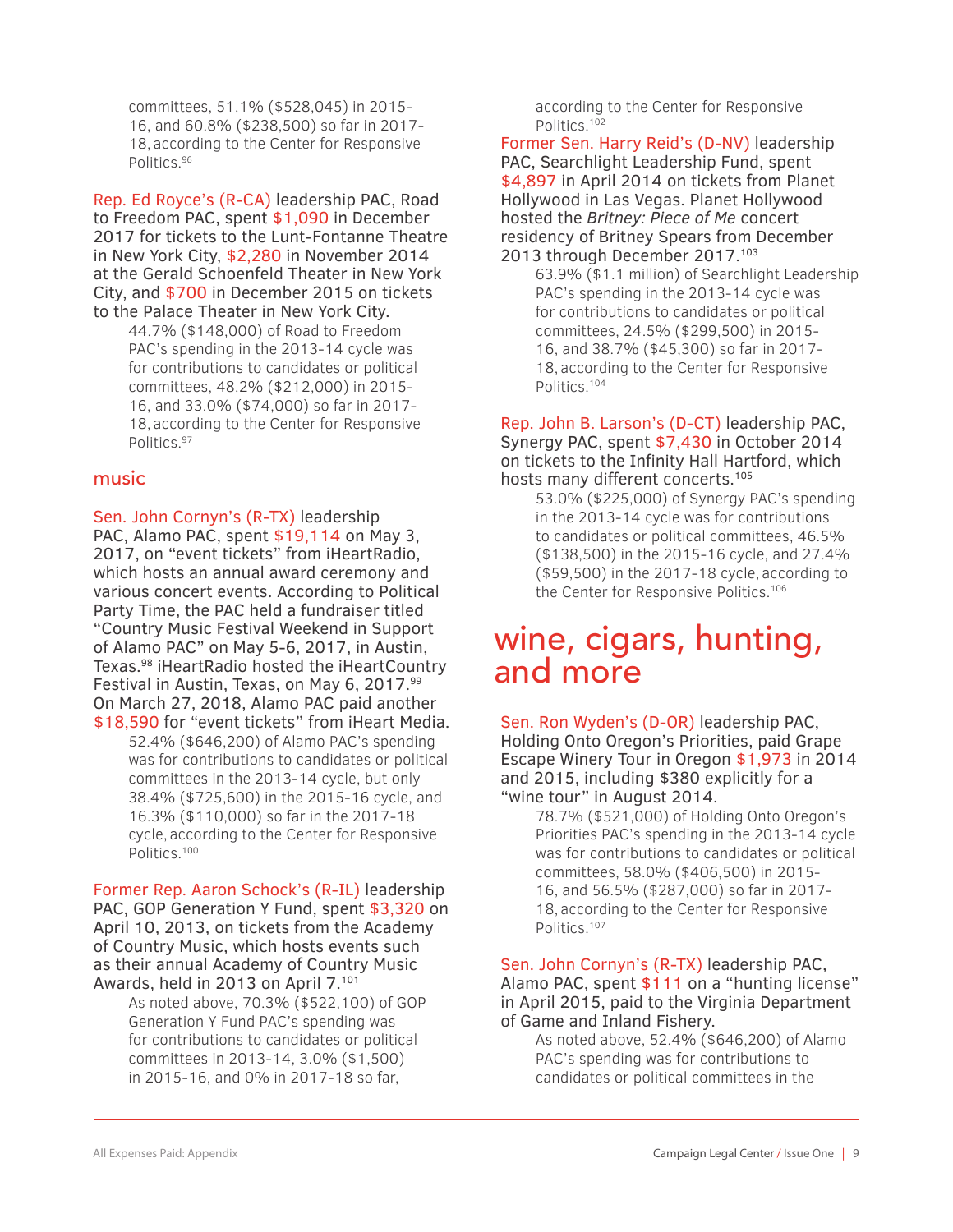committees, 51.1% (\$528,045) in 2015- 16, and 60.8% (\$238,500) so far in 2017- 18, according to the Center for Responsive Politics.96

Rep. Ed Royce's (R-CA) leadership PAC, Road to Freedom PAC, spent \$1,090 in December 2017 for tickets to the Lunt-Fontanne Theatre in New York City, \$2,280 in November 2014 at the Gerald Schoenfeld Theater in New York City, and \$700 in December 2015 on tickets to the Palace Theater in New York City.

44.7% (\$148,000) of Road to Freedom PAC's spending in the 2013-14 cycle was for contributions to candidates or political committees, 48.2% (\$212,000) in 2015- 16, and 33.0% (\$74,000) so far in 2017- 18, according to the Center for Responsive Politics.97

#### music

Sen. John Cornyn's (R-TX) leadership PAC, Alamo PAC, spent \$19,114 on May 3, 2017, on "event tickets" from iHeartRadio, which hosts an annual award ceremony and various concert events. According to Political Party Time, the PAC held a fundraiser titled "Country Music Festival Weekend in Support of Alamo PAC" on May 5-6, 2017, in Austin, Texas.98 iHeartRadio hosted the iHeartCountry Festival in Austin, Texas, on May 6, 2017.99 On March 27, 2018, Alamo PAC paid another \$18,590 for "event tickets" from iHeart Media.

52.4% (\$646,200) of Alamo PAC's spending was for contributions to candidates or political committees in the 2013-14 cycle, but only 38.4% (\$725,600) in the 2015-16 cycle, and 16.3% (\$110,000) so far in the 2017-18 cycle, according to the Center for Responsive Politics.100

Former Rep. Aaron Schock's (R-IL) leadership PAC, GOP Generation Y Fund, spent \$3,320 on April 10, 2013, on tickets from the Academy of Country Music, which hosts events such as their annual Academy of Country Music Awards, held in 2013 on April 7.101

As noted above, 70.3% (\$522,100) of GOP Generation Y Fund PAC's spending was for contributions to candidates or political committees in 2013-14, 3.0% (\$1,500) in 2015-16, and 0% in 2017-18 so far,

according to the Center for Responsive Politics.102

Former Sen. Harry Reid's (D-NV) leadership PAC, Searchlight Leadership Fund, spent \$4,897 in April 2014 on tickets from Planet Hollywood in Las Vegas. Planet Hollywood hosted the *Britney: Piece of Me* concert residency of Britney Spears from December 2013 through December 2017.<sup>103</sup>

63.9% (\$1.1 million) of Searchlight Leadership PAC's spending in the 2013-14 cycle was for contributions to candidates or political committees, 24.5% (\$299,500) in 2015- 16, and 38.7% (\$45,300) so far in 2017- 18, according to the Center for Responsive Politics.104

Rep. John B. Larson's (D-CT) leadership PAC, Synergy PAC, spent \$7,430 in October 2014 on tickets to the Infinity Hall Hartford, which hosts many different concerts.<sup>105</sup>

53.0% (\$225,000) of Synergy PAC's spending in the 2013-14 cycle was for contributions to candidates or political committees, 46.5% (\$138,500) in the 2015-16 cycle, and 27.4% (\$59,500) in the 2017-18 cycle, according to the Center for Responsive Politics.<sup>106</sup>

### wine, cigars, hunting, and more

Sen. Ron Wyden's (D-OR) leadership PAC, Holding Onto Oregon's Priorities, paid Grape Escape Winery Tour in Oregon \$1,973 in 2014 and 2015, including \$380 explicitly for a "wine tour" in August 2014.

78.7% (\$521,000) of Holding Onto Oregon's Priorities PAC's spending in the 2013-14 cycle was for contributions to candidates or political committees, 58.0% (\$406,500) in 2015- 16, and 56.5% (\$287,000) so far in 2017- 18, according to the Center for Responsive Politics.107

Sen. John Cornyn's (R-TX) leadership PAC, Alamo PAC, spent \$111 on a "hunting license" in April 2015, paid to the Virginia Department of Game and Inland Fishery.

As noted above, 52.4% (\$646,200) of Alamo PAC's spending was for contributions to candidates or political committees in the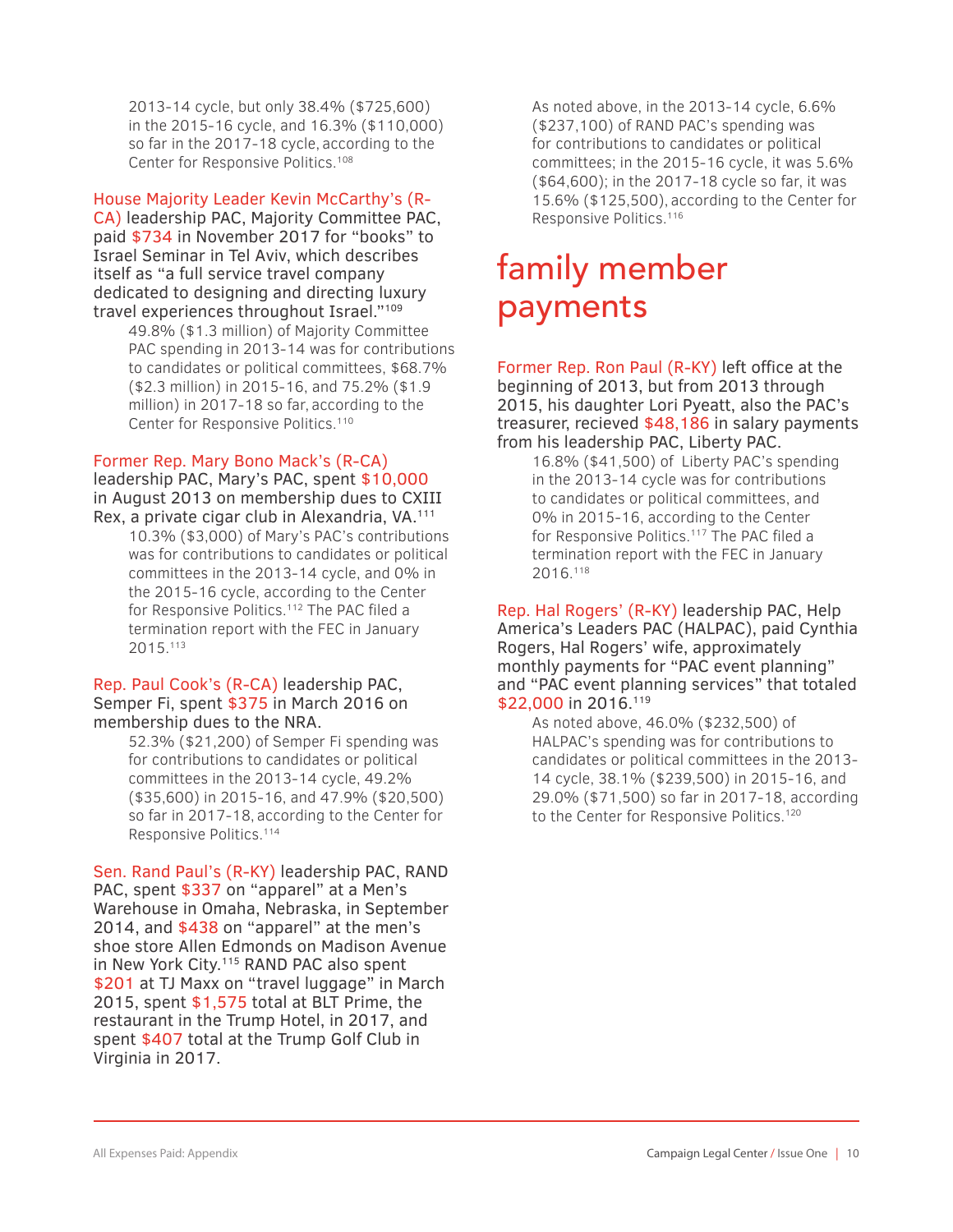2013-14 cycle, but only 38.4% (\$725,600) in the 2015-16 cycle, and 16.3% (\$110,000) so far in the 2017-18 cycle, according to the Center for Responsive Politics.108

House Majority Leader Kevin McCarthy's (R-CA) leadership PAC, Majority Committee PAC, paid \$734 in November 2017 for "books" to Israel Seminar in Tel Aviv, which describes itself as "a full service travel company dedicated to designing and directing luxury travel experiences throughout Israel."109

49.8% (\$1.3 million) of Majority Committee PAC spending in 2013-14 was for contributions to candidates or political committees, \$68.7% (\$2.3 million) in 2015-16, and 75.2% (\$1.9 million) in 2017-18 so far, according to the Center for Responsive Politics.<sup>110</sup>

#### Former Rep. Mary Bono Mack's (R-CA)

leadership PAC, Mary's PAC, spent \$10,000 in August 2013 on membership dues to CXIII Rex, a private cigar club in Alexandria, VA.111

10.3% (\$3,000) of Mary's PAC's contributions was for contributions to candidates or political committees in the 2013-14 cycle, and 0% in the 2015-16 cycle, according to the Center for Responsive Politics.<sup>112</sup> The PAC filed a termination report with the FEC in January 2015.113

#### Rep. Paul Cook's (R-CA) leadership PAC, Semper Fi, spent \$375 in March 2016 on membership dues to the NRA.

52.3% (\$21,200) of Semper Fi spending was for contributions to candidates or political committees in the 2013-14 cycle, 49.2% (\$35,600) in 2015-16, and 47.9% (\$20,500) so far in 2017-18, according to the Center for Responsive Politics.<sup>114</sup>

#### Sen. Rand Paul's (R-KY) leadership PAC, RAND PAC, spent \$337 on "apparel" at a Men's Warehouse in Omaha, Nebraska, in September 2014, and \$438 on "apparel" at the men's shoe store Allen Edmonds on Madison Avenue in New York City.<sup>115</sup> RAND PAC also spent \$201 at TJ Maxx on "travel luggage" in March 2015, spent \$1,575 total at BLT Prime, the restaurant in the Trump Hotel, in 2017, and spent \$407 total at the Trump Golf Club in Virginia in 2017.

As noted above, in the 2013-14 cycle, 6.6% (\$237,100) of RAND PAC's spending was for contributions to candidates or political committees; in the 2015-16 cycle, it was 5.6% (\$64,600); in the 2017-18 cycle so far, it was 15.6% (\$125,500), according to the Center for Responsive Politics.<sup>116</sup>

### family member payments

Former Rep. Ron Paul (R-KY) left office at the beginning of 2013, but from 2013 through 2015, his daughter Lori Pyeatt, also the PAC's treasurer, recieved \$48,186 in salary payments from his leadership PAC, Liberty PAC.

16.8% (\$41,500) of Liberty PAC's spending in the 2013-14 cycle was for contributions to candidates or political committees, and 0% in 2015-16, according to the Center for Responsive Politics.<sup>117</sup> The PAC filed a termination report with the FEC in January 2016.118

Rep. Hal Rogers' (R-KY) leadership PAC, Help America's Leaders PAC (HALPAC), paid Cynthia Rogers, Hal Rogers' wife, approximately monthly payments for "PAC event planning" and "PAC event planning services" that totaled \$22,000 in 2016.<sup>119</sup>

As noted above, 46.0% (\$232,500) of HALPAC's spending was for contributions to candidates or political committees in the 2013- 14 cycle, 38.1% (\$239,500) in 2015-16, and 29.0% (\$71,500) so far in 2017-18, according to the Center for Responsive Politics.<sup>120</sup>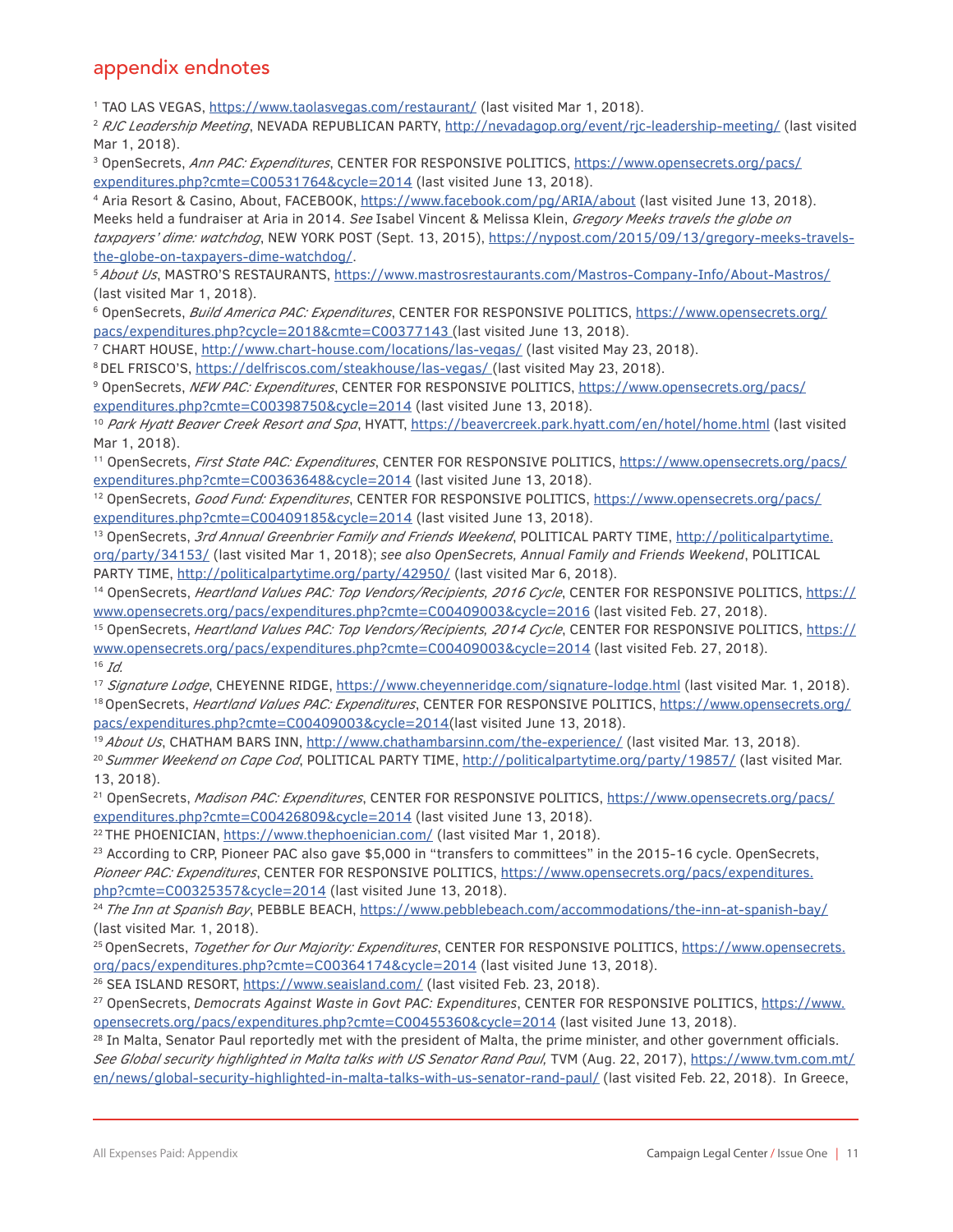### appendix endnotes

1 TAO LAS VEGAS, https://www.taolasvegas.com/restaurant/ (last visited Mar 1, 2018).

<sup>2</sup> *RJC Leadership Meeting*, NEVADA REPUBLICAN PARTY, http://nevadagop.org/event/rjc-leadership-meeting/ (last visited Mar 1, 2018).

3 OpenSecrets, *Ann PAC: Expenditures*, CENTER FOR RESPONSIVE POLITICS, https://www.opensecrets.org/pacs/ expenditures.php?cmte=C00531764&cycle=2014 (last visited June 13, 2018).

4 Aria Resort & Casino, About, FACEBOOK, https://www.facebook.com/pg/ARIA/about (last visited June 13, 2018). Meeks held a fundraiser at Aria in 2014. See Isabel Vincent & Melissa Klein, *Gregory Meeks travels the globe on taxpayers' dime: watchdog*, NEW YORK POST (Sept. 13, 2015), https://nypost.com/2015/09/13/gregory-meeks-travelsthe-globe-on-taxpayers-dime-watchdog/.

<sup>5</sup>*About Us*, MASTRO'S RESTAURANTS, https://www.mastrosrestaurants.com/Mastros-Company-Info/About-Mastros/ (last visited Mar 1, 2018).

6 OpenSecrets, *Build America PAC: Expenditures*, CENTER FOR RESPONSIVE POLITICS, https://www.opensecrets.org/ pacs/expenditures.php?cycle=2018&cmte=C00377143 (last visited June 13, 2018).

7 CHART HOUSE, http://www.chart-house.com/locations/las-vegas/ (last visited May 23, 2018).

8 DEL FRISCO'S, https://delfriscos.com/steakhouse/las-vegas/ (last visited May 23, 2018).

9 OpenSecrets, *NEW PAC: Expenditures*, CENTER FOR RESPONSIVE POLITICS, https://www.opensecrets.org/pacs/ expenditures.php?cmte=C00398750&cycle=2014 (last visited June 13, 2018).

<sup>10</sup> *Park Hyatt Beaver Creek Resort and Spa*, HYATT, https://beavercreek.park.hyatt.com/en/hotel/home.html (last visited Mar 1, 2018).

11 OpenSecrets, *First State PAC: Expenditures*, CENTER FOR RESPONSIVE POLITICS, https://www.opensecrets.org/pacs/ expenditures.php?cmte=C00363648&cycle=2014 (last visited June 13, 2018).

12 OpenSecrets, *Good Fund: Expenditures*, CENTER FOR RESPONSIVE POLITICS, https://www.opensecrets.org/pacs/ expenditures.php?cmte=C00409185&cycle=2014 (last visited June 13, 2018).

13 OpenSecrets, *3rd Annual Greenbrier Family and Friends Weekend*, POLITICAL PARTY TIME, http://politicalpartytime. org/party/34153/ (last visited Mar 1, 2018); *see also OpenSecrets, Annual Family and Friends Weekend*, POLITICAL PARTY TIME, http://politicalpartytime.org/party/42950/ (last visited Mar 6, 2018).

14 OpenSecrets, *Heartland Values PAC: Top Vendors/Recipients, 2016 Cycle*, CENTER FOR RESPONSIVE POLITICS, https:// www.opensecrets.org/pacs/expenditures.php?cmte=C00409003&cycle=2016 (last visited Feb. 27, 2018).

15 OpenSecrets, *Heartland Values PAC: Top Vendors/Recipients, 2014 Cycle*, CENTER FOR RESPONSIVE POLITICS, https:// www.opensecrets.org/pacs/expenditures.php?cmte=C00409003&cycle=2014 (last visited Feb. 27, 2018).  $16$  *Id.* 

<sup>17</sup> *Signature Lodge*, CHEYENNE RIDGE, https://www.cheyenneridge.com/signature-lodge.html (last visited Mar. 1, 2018). 18 OpenSecrets, *Heartland Values PAC: Expenditures*, CENTER FOR RESPONSIVE POLITICS, https://www.opensecrets.org/ pacs/expenditures.php?cmte=C00409003&cycle=2014(last visited June 13, 2018).

<sup>19</sup> About Us, CHATHAM BARS INN, http://www.chathambarsinn.com/the-experience/ (last visited Mar. 13, 2018).

<sup>20</sup> Summer Weekend on Cape Cod, POLITICAL PARTY TIME, http://politicalpartytime.org/party/19857/ (last visited Mar. 13, 2018).

21 OpenSecrets, *Madison PAC: Expenditures*, CENTER FOR RESPONSIVE POLITICS, https://www.opensecrets.org/pacs/ expenditures.php?cmte=C00426809&cycle=2014 (last visited June 13, 2018).

<sup>22</sup> THE PHOENICIAN, https://www.thephoenician.com/ (last visited Mar 1, 2018).

<sup>23</sup> According to CRP, Pioneer PAC also gave \$5,000 in "transfers to committees" in the 2015-16 cycle. OpenSecrets, *Pioneer PAC: Expenditures*, CENTER FOR RESPONSIVE POLITICS, https://www.opensecrets.org/pacs/expenditures. php?cmte=C00325357&cycle=2014 (last visited June 13, 2018).

<sup>24</sup> *The Inn at Spanish Bay*, PEBBLE BEACH, https://www.pebblebeach.com/accommodations/the-inn-at-spanish-bay/ (last visited Mar. 1, 2018).

25 OpenSecrets, *Together for Our Majority: Expenditures*, CENTER FOR RESPONSIVE POLITICS, https://www.opensecrets. org/pacs/expenditures.php?cmte=C00364174&cycle=2014 (last visited June 13, 2018).

<sup>26</sup> SEA ISLAND RESORT, https://www.seaisland.com/ (last visited Feb. 23, 2018).

27 OpenSecrets, *Democrats Against Waste in Govt PAC: Expenditures*, CENTER FOR RESPONSIVE POLITICS, https://www. opensecrets.org/pacs/expenditures.php?cmte=C00455360&cycle=2014 (last visited June 13, 2018).

<sup>28</sup> In Malta, Senator Paul reportedly met with the president of Malta, the prime minister, and other government officials. *See Global security highlighted in Malta talks with US Senator Rand Paul,* TVM (Aug. 22, 2017), https://www.tvm.com.mt/ en/news/global-security-highlighted-in-malta-talks-with-us-senator-rand-paul/ (last visited Feb. 22, 2018). In Greece,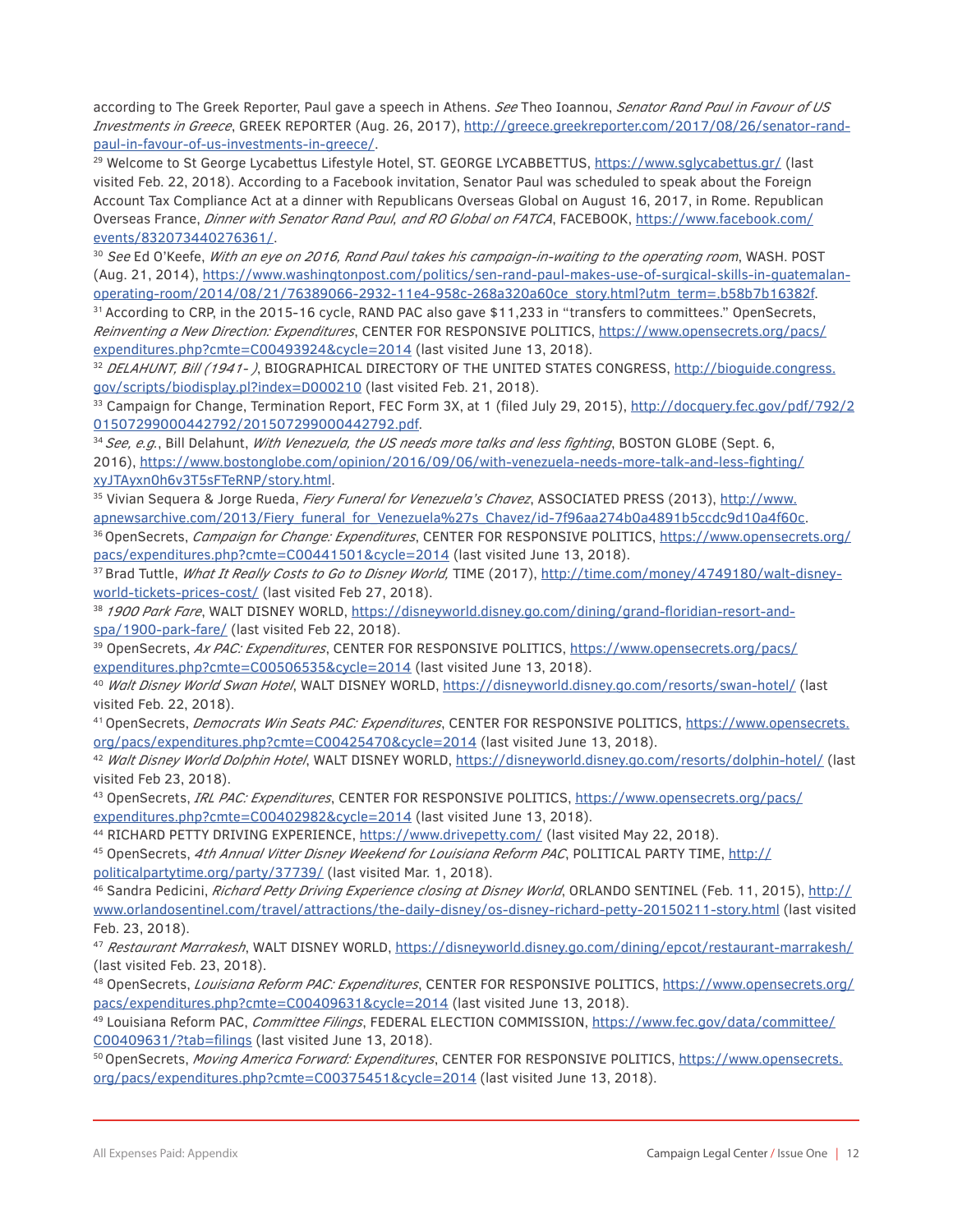according to The Greek Reporter, Paul gave a speech in Athens. *See* Theo Ioannou, *Senator Rand Paul in Favour of US Investments in Greece*, GREEK REPORTER (Aug. 26, 2017), http://greece.greekreporter.com/2017/08/26/senator-randpaul-in-favour-of-us-investments-in-greece/.

<sup>29</sup> Welcome to St George Lycabettus Lifestyle Hotel, ST. GEORGE LYCABBETTUS, https://www.sglycabettus.gr/ (last visited Feb. 22, 2018). According to a Facebook invitation, Senator Paul was scheduled to speak about the Foreign Account Tax Compliance Act at a dinner with Republicans Overseas Global on August 16, 2017, in Rome. Republican Overseas France, *Dinner with Senator Rand Paul, and RO Global on FATCA*, FACEBOOK, https://www.facebook.com/ events/832073440276361/.

<sup>30</sup> See Ed O'Keefe, *With an eye on 2016, Rand Paul takes his campaign-in-waiting to the operating roo*m, WASH. POST (Aug. 21, 2014), https://www.washingtonpost.com/politics/sen-rand-paul-makes-use-of-surgical-skills-in-guatemalanoperating-room/2014/08/21/76389066-2932-11e4-958c-268a320a60ce\_story.html?utm\_term=.b58b7b16382f.

31 According to CRP, in the 2015-16 cycle, RAND PAC also gave \$11,233 in "transfers to committees." OpenSecrets, *Reinventing a New Direction: Expenditures*, CENTER FOR RESPONSIVE POLITICS, https://www.opensecrets.org/pacs/ expenditures.php?cmte=C00493924&cycle=2014 (last visited June 13, 2018).

<sup>32</sup> *DELAHUNT, Bill (1941- )*, BIOGRAPHICAL DIRECTORY OF THE UNITED STATES CONGRESS, http://bioguide.congress. gov/scripts/biodisplay.pl?index=D000210 (last visited Feb. 21, 2018).

<sup>33</sup> Campaign for Change, Termination Report, FEC Form 3X, at 1 (filed July 29, 2015), http://docquery.fec.gov/pdf/792/2 01507299000442792/201507299000442792.pdf.

<sup>34</sup> *See, e.g.*, Bill Delahunt, *With Venezuela, the US needs more talks and less fighting*, BOSTON GLOBE (Sept. 6, 2016), https://www.bostonglobe.com/opinion/2016/09/06/with-venezuela-needs-more-talk-and-less-fighting/ xyJTAyxn0h6v3T5sFTeRNP/story.html.

35 Vivian Sequera & Jorge Rueda, *Fiery Funeral for Venezuela's Chavez*, ASSOCIATED PRESS (2013), http://www. apnewsarchive.com/2013/Fiery\_funeral\_for\_Venezuela%27s\_Chavez/id-7f96aa274b0a4891b5ccdc9d10a4f60c.

36 OpenSecrets, *Campaign for Change: Expenditures*, CENTER FOR RESPONSIVE POLITICS, https://www.opensecrets.org/ pacs/expenditures.php?cmte=C00441501&cycle=2014 (last visited June 13, 2018).

37 Brad Tuttle, *What It Really Costs to Go to Disney World,* TIME (2017), http://time.com/money/4749180/walt-disneyworld-tickets-prices-cost/ (last visited Feb 27, 2018).

38 *1900 Park Fare*, WALT DISNEY WORLD, https://disneyworld.disney.go.com/dining/grand-floridian-resort-andspa/1900-park-fare/ (last visited Feb 22, 2018).

39 OpenSecrets, *Ax PAC: Expenditures*, CENTER FOR RESPONSIVE POLITICS, https://www.opensecrets.org/pacs/ expenditures.php?cmte=C00506535&cycle=2014 (last visited June 13, 2018).

<sup>40</sup> *Walt Disney World Swan Hotel*, WALT DISNEY WORLD, https://disneyworld.disney.go.com/resorts/swan-hotel/ (last visited Feb. 22, 2018).

41 OpenSecrets, *Democrats Win Seats PAC: Expenditures*, CENTER FOR RESPONSIVE POLITICS, https://www.opensecrets. org/pacs/expenditures.php?cmte=C00425470&cycle=2014 (last visited June 13, 2018).

<sup>42</sup> *Walt Disney World Dolphin Hotel*, WALT DISNEY WORLD, https://disneyworld.disney.go.com/resorts/dolphin-hotel/ (last visited Feb 23, 2018).

43 OpenSecrets, *IRL PAC: Expenditures*, CENTER FOR RESPONSIVE POLITICS, https://www.opensecrets.org/pacs/ expenditures.php?cmte=C00402982&cycle=2014 (last visited June 13, 2018).

44 RICHARD PETTY DRIVING EXPERIENCE, https://www.drivepetty.com/ (last visited May 22, 2018).

45 OpenSecrets, *4th Annual Vitter Disney Weekend for Louisiana Reform PAC*, POLITICAL PARTY TIME, http:// politicalpartytime.org/party/37739/ (last visited Mar. 1, 2018).

46 Sandra Pedicini, *Richard Petty Driving Experience closing at Disney World*, ORLANDO SENTINEL (Feb. 11, 2015), http:// www.orlandosentinel.com/travel/attractions/the-daily-disney/os-disney-richard-petty-20150211-story.html (last visited Feb. 23, 2018).

<sup>47</sup> *Restaurant Marrakesh*, WALT DISNEY WORLD, https://disneyworld.disney.go.com/dining/epcot/restaurant-marrakesh/ (last visited Feb. 23, 2018).

48 OpenSecrets, *Louisiana Reform PAC: Expenditures*, CENTER FOR RESPONSIVE POLITICS, https://www.opensecrets.org/ pacs/expenditures.php?cmte=C00409631&cycle=2014 (last visited June 13, 2018).

49 Louisiana Reform PAC, *Committee Filings*, FEDERAL ELECTION COMMISSION, https://www.fec.gov/data/committee/ C00409631/?tab=filings (last visited June 13, 2018).

50 OpenSecrets, *Moving America Forward: Expenditures*, CENTER FOR RESPONSIVE POLITICS, https://www.opensecrets. org/pacs/expenditures.php?cmte=C00375451&cycle=2014 (last visited June 13, 2018).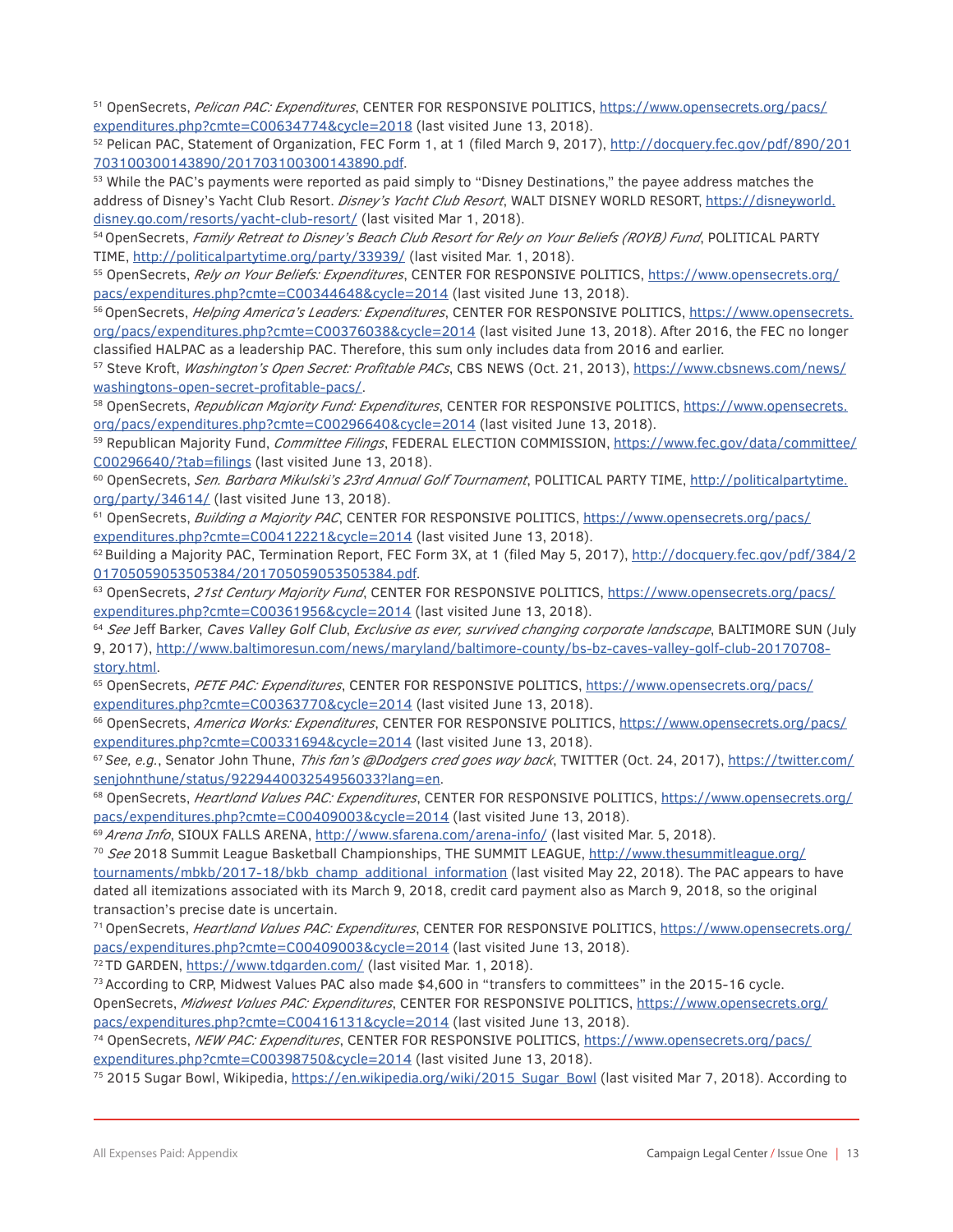51 OpenSecrets, *Pelican PAC: Expenditures*, CENTER FOR RESPONSIVE POLITICS, https://www.opensecrets.org/pacs/ expenditures.php?cmte=C00634774&cycle=2018 (last visited June 13, 2018).

<sup>52</sup> Pelican PAC, Statement of Organization, FEC Form 1, at 1 (filed March 9, 2017), http://docquery.fec.gov/pdf/890/201 703100300143890/201703100300143890.pdf.

<sup>53</sup> While the PAC's payments were reported as paid simply to "Disney Destinations," the payee address matches the address of Disney's Yacht Club Resort. *Disney's Yacht Club Resort*, WALT DISNEY WORLD RESORT, https://disneyworld. disney.go.com/resorts/yacht-club-resort/ (last visited Mar 1, 2018).

54 OpenSecrets, *Family Retreat to Disney's Beach Club Resort for Rely on Your Beliefs (ROYB) Fund*, POLITICAL PARTY TIME, http://politicalpartytime.org/party/33939/ (last visited Mar. 1, 2018).

55 OpenSecrets, *Rely on Your Beliefs: Expenditures*, CENTER FOR RESPONSIVE POLITICS, https://www.opensecrets.org/ pacs/expenditures.php?cmte=C00344648&cycle=2014 (last visited June 13, 2018).

56 OpenSecrets, *Helping America's Leaders: Expenditures*, CENTER FOR RESPONSIVE POLITICS, https://www.opensecrets. org/pacs/expenditures.php?cmte=C00376038&cycle=2014 (last visited June 13, 2018). After 2016, the FEC no longer classified HALPAC as a leadership PAC. Therefore, this sum only includes data from 2016 and earlier.

57 Steve Kroft, *Washington's Open Secret: Profitable PACs*, CBS NEWS (Oct. 21, 2013), https://www.cbsnews.com/news/ washingtons-open-secret-profitable-pacs/.

58 OpenSecrets, *Republican Majority Fund: Expenditures*, CENTER FOR RESPONSIVE POLITICS, https://www.opensecrets. org/pacs/expenditures.php?cmte=C00296640&cycle=2014 (last visited June 13, 2018).

59 Republican Majority Fund, *Committee Filings*, FEDERAL ELECTION COMMISSION, https://www.fec.gov/data/committee/ C00296640/?tab=filings (last visited June 13, 2018).

60 OpenSecrets, *Sen. Barbara Mikulski's 23rd Annual Golf Tournament*, POLITICAL PARTY TIME, http://politicalpartytime. org/party/34614/ (last visited June 13, 2018).

61 OpenSecrets, *Building a Majority PAC*, CENTER FOR RESPONSIVE POLITICS, https://www.opensecrets.org/pacs/ expenditures.php?cmte=C00412221&cycle=2014 (last visited June 13, 2018).

<sup>62</sup> Building a Majority PAC, Termination Report, FEC Form 3X, at 1 (filed May 5, 2017), http://docquery.fec.gov/pdf/384/2 01705059053505384/201705059053505384.pdf.

63 OpenSecrets, *21st Century Majority Fund*, CENTER FOR RESPONSIVE POLITICS, https://www.opensecrets.org/pacs/ expenditures.php?cmte=C00361956&cycle=2014 (last visited June 13, 2018).

<sup>64</sup> *See* Jeff Barker, Caves Valley Golf Club, *Exclusive as ever, survived changing corporate landscape*, BALTIMORE SUN (July 9, 2017), http://www.baltimoresun.com/news/maryland/baltimore-county/bs-bz-caves-valley-golf-club-20170708 story.html.

65 OpenSecrets, *PETE PAC: Expenditures*, CENTER FOR RESPONSIVE POLITICS, https://www.opensecrets.org/pacs/ expenditures.php?cmte=C00363770&cycle=2014 (last visited June 13, 2018).

66 OpenSecrets, *America Works: Expenditures*, CENTER FOR RESPONSIVE POLITICS, https://www.opensecrets.org/pacs/ expenditures.php?cmte=C00331694&cycle=2014 (last visited June 13, 2018).

<sup>67</sup> *See, e.g.*, Senator John Thune, *This fan's @Dodgers cred goes way back*, TWITTER (Oct. 24, 2017), https://twitter.com/ senjohnthune/status/922944003254956033?lang=en.

68 OpenSecrets, *Heartland Values PAC: Expenditures*, CENTER FOR RESPONSIVE POLITICS, https://www.opensecrets.org/ pacs/expenditures.php?cmte=C00409003&cycle=2014 (last visited June 13, 2018).

69 Arena Info, SIOUX FALLS ARENA, http://www.sfarena.com/arena-info/ (last visited Mar. 5, 2018).

<sup>70</sup> *See* 2018 Summit League Basketball Championships, THE SUMMIT LEAGUE, http://www.thesummitleague.org/ tournaments/mbkb/2017-18/bkb\_champ\_additional\_information (last visited May 22, 2018). The PAC appears to have dated all itemizations associated with its March 9, 2018, credit card payment also as March 9, 2018, so the original

transaction's precise date is uncertain.

71 OpenSecrets, *Heartland Values PAC: Expenditures*, CENTER FOR RESPONSIVE POLITICS, https://www.opensecrets.org/ pacs/expenditures.php?cmte=C00409003&cycle=2014 (last visited June 13, 2018).

72 TD GARDEN, https://www.tdgarden.com/ (last visited Mar. 1, 2018).

<sup>73</sup> According to CRP, Midwest Values PAC also made \$4,600 in "transfers to committees" in the 2015-16 cycle. OpenSecrets, *Midwest Values PAC: Expenditures*, CENTER FOR RESPONSIVE POLITICS, https://www.opensecrets.org/ pacs/expenditures.php?cmte=C00416131&cycle=2014 (last visited June 13, 2018).

74 OpenSecrets, *NEW PAC: Expenditures*, CENTER FOR RESPONSIVE POLITICS, https://www.opensecrets.org/pacs/ expenditures.php?cmte=C00398750&cycle=2014 (last visited June 13, 2018).

<sup>75</sup> 2015 Sugar Bowl, Wikipedia, https://en.wikipedia.org/wiki/2015\_Sugar\_Bowl (last visited Mar 7, 2018). According to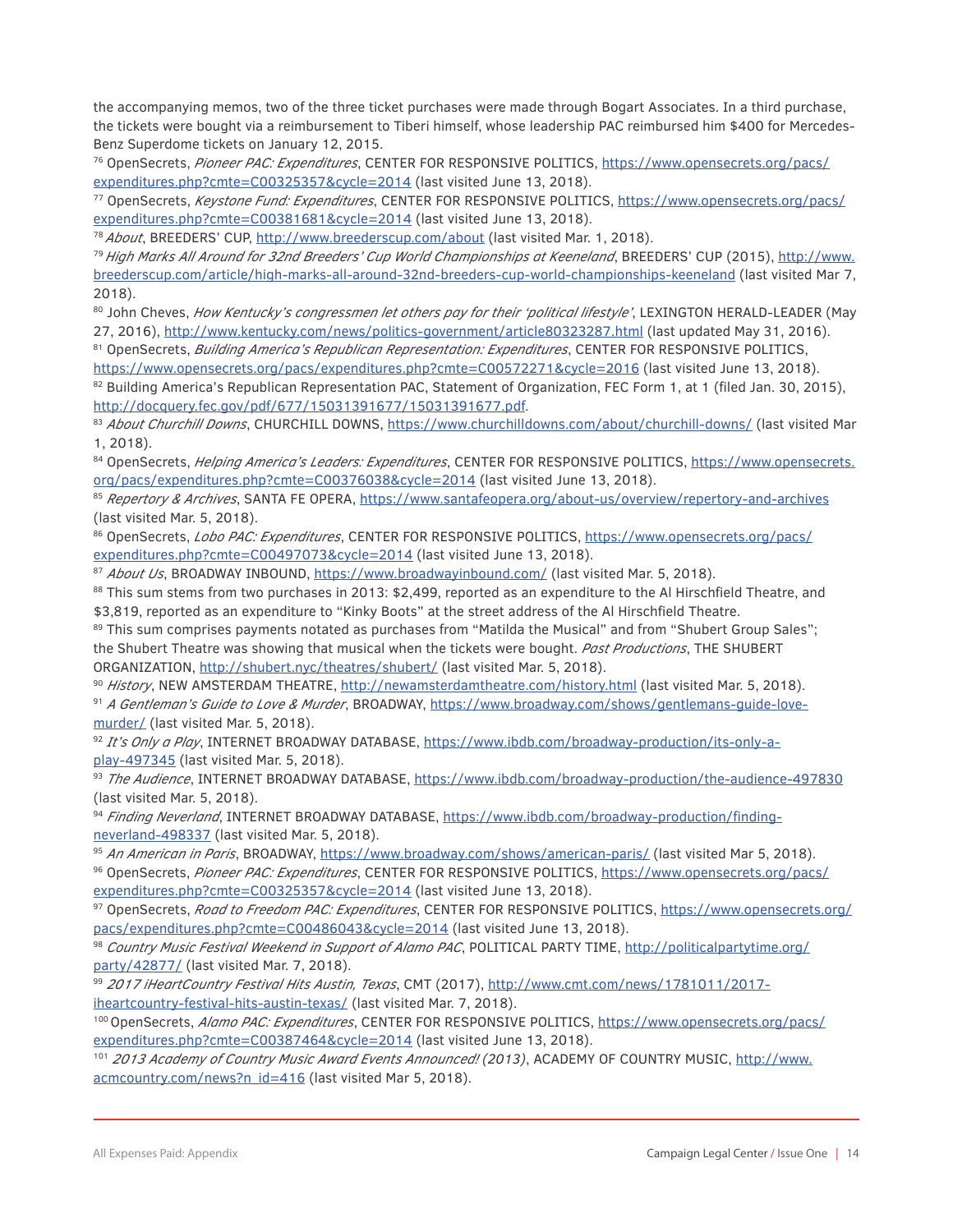the accompanying memos, two of the three ticket purchases were made through Bogart Associates. In a third purchase, the tickets were bought via a reimbursement to Tiberi himself, whose leadership PAC reimbursed him \$400 for Mercedes-Benz Superdome tickets on January 12, 2015.

76 OpenSecrets, *Pioneer PAC: Expenditures*, CENTER FOR RESPONSIVE POLITICS, https://www.opensecrets.org/pacs/ expenditures.php?cmte=C00325357&cycle=2014 (last visited June 13, 2018).

77 OpenSecrets, *Keystone Fund: Expenditures*, CENTER FOR RESPONSIVE POLITICS, https://www.opensecrets.org/pacs/ expenditures.php?cmte=C00381681&cycle=2014 (last visited June 13, 2018).

<sup>78</sup>*About*, BREEDERS' CUP, http://www.breederscup.com/about (last visited Mar. 1, 2018).

<sup>79</sup>*High Marks All Around for 32nd Breeders' Cup World Championships at Keeneland*, BREEDERS' CUP (2015), http://www. breederscup.com/article/high-marks-all-around-32nd-breeders-cup-world-championships-keeneland (last visited Mar 7, 2018).

80 John Cheves, *How Kentucky's congressmen let others pay for their 'political lifestyle'*, LEXINGTON HERALD-LEADER (May 27, 2016), http://www.kentucky.com/news/politics-government/article80323287.html (last updated May 31, 2016).

81 OpenSecrets, *Building America's Republican Representation: Expenditures*, CENTER FOR RESPONSIVE POLITICS,

https://www.opensecrets.org/pacs/expenditures.php?cmte=C00572271&cycle=2016 (last visited June 13, 2018).

82 Building America's Republican Representation PAC, Statement of Organization, FEC Form 1, at 1 (filed Jan. 30, 2015), http://docquery.fec.gov/pdf/677/15031391677/15031391677.pdf.

83 *About Churchill Downs*, CHURCHILL DOWNS, https://www.churchilldowns.com/about/churchill-downs/ (last visited Mar 1, 2018).

84 OpenSecrets, *Helping America's Leaders: Expenditures*, CENTER FOR RESPONSIVE POLITICS, https://www.opensecrets. org/pacs/expenditures.php?cmte=C00376038&cycle=2014 (last visited June 13, 2018).

<sup>85</sup> *Repertory & Archives*, SANTA FE OPERA, https://www.santafeopera.org/about-us/overview/repertory-and-archives (last visited Mar. 5, 2018).

86 OpenSecrets, *Lobo PAC: Expenditures*, CENTER FOR RESPONSIVE POLITICS, https://www.opensecrets.org/pacs/ expenditures.php?cmte=C00497073&cycle=2014 (last visited June 13, 2018).

87 *About Us*, BROADWAY INBOUND, https://www.broadwayinbound.com/ (last visited Mar. 5, 2018).

88 This sum stems from two purchases in 2013: \$2,499, reported as an expenditure to the Al Hirschfield Theatre, and \$3,819, reported as an expenditure to "Kinky Boots" at the street address of the Al Hirschfield Theatre.

89 This sum comprises payments notated as purchases from "Matilda the Musical" and from "Shubert Group Sales"; the Shubert Theatre was showing that musical when the tickets were bought. *Past Productions*, THE SHUBERT ORGANIZATION, http://shubert.nyc/theatres/shubert/ (last visited Mar. 5, 2018).

90 *History*, NEW AMSTERDAM THEATRE, http://newamsterdamtheatre.com/history.html (last visited Mar. 5, 2018).

<sup>91</sup> *A Gentleman's Guide to Love & Murder*, BROADWAY, https://www.broadway.com/shows/gentlemans-guide-lovemurder/ (last visited Mar. 5, 2018).

92 It's Only a Play, INTERNET BROADWAY DATABASE, https://www.ibdb.com/broadway-production/its-only-aplay-497345 (last visited Mar. 5, 2018).

<sup>93</sup> *The Audience*, INTERNET BROADWAY DATABASE, https://www.ibdb.com/broadway-production/the-audience-497830 (last visited Mar. 5, 2018).

<sup>94</sup> *Finding Neverland*, INTERNET BROADWAY DATABASE, https://www.ibdb.com/broadway-production/findingneverland-498337 (last visited Mar. 5, 2018).

<sup>95</sup> *An American in Paris*, BROADWAY, https://www.broadway.com/shows/american-paris/ (last visited Mar 5, 2018).

96 OpenSecrets, *Pioneer PAC: Expenditures*, CENTER FOR RESPONSIVE POLITICS, https://www.opensecrets.org/pacs/ expenditures.php?cmte=C00325357&cycle=2014 (last visited June 13, 2018).

97 OpenSecrets, *Road to Freedom PAC: Expenditures*, CENTER FOR RESPONSIVE POLITICS, https://www.opensecrets.org/ pacs/expenditures.php?cmte=C00486043&cycle=2014 (last visited June 13, 2018).

<sup>98</sup> *Country Music Festival Weekend in Support of Alamo PAC*, POLITICAL PARTY TIME, http://politicalpartytime.org/ party/42877/ (last visited Mar. 7, 2018).

<sup>99</sup> *2017 iHeartCountry Festival Hits Austin, Texas*, CMT (2017), http://www.cmt.com/news/1781011/2017 iheartcountry-festival-hits-austin-texas/ (last visited Mar. 7, 2018).

100 OpenSecrets, *Alamo PAC: Expenditures*, CENTER FOR RESPONSIVE POLITICS, https://www.opensecrets.org/pacs/ expenditures.php?cmte=C00387464&cycle=2014 (last visited June 13, 2018).

<sup>101</sup> *2013 Academy of Country Music Award Events Announced! (2013)*, ACADEMY OF COUNTRY MUSIC, http://www. acmcountry.com/news?n\_id=416 (last visited Mar 5, 2018).